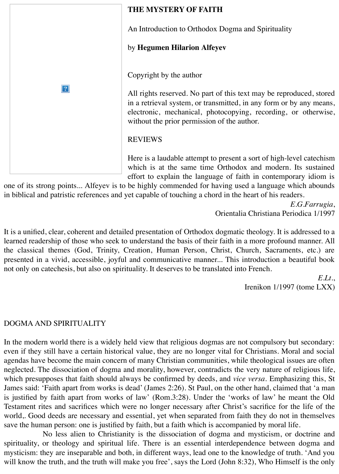

# **THE MYSTERY OF FAITH**

An Introduction to Orthodox Dogma and Spirituality

# by **Hegumen Hilarion Alfeyev**

Copyright by the author

All rights reserved. No part of this text may be reproduced, stored in a retrieval system, or transmitted, in any form or by any means, electronic, mechanical, photocopying, recording, or otherwise, without the prior permission of the author.

# REVIEWS

Here is a laudable attempt to present a sort of high-level catechism which is at the same time Orthodox and modern. Its sustained effort to explain the language of faith in contemporary idiom is

one of its strong points... Alfeyev is to be highly commended for having used a language which abounds in biblical and patristic references and yet capable of touching a chord in the heart of his readers.

> *E.G.Farrugia*, Orientalia Christiana Periodica 1/1997

It is a unified, clear, coherent and detailed presentation of Orthodox dogmatic theology. It is addressed to a learned readership of those who seek to understand the basis of their faith in a more profound manner. All the classical themes (God, Trinity, Creation, Human Person, Christ, Church, Sacraments, etc.) are presented in a vivid, accessible, joyful and communicative manner... This introduction a beautiful book not only on catechesis, but also on spirituality. It deserves to be translated into French.

> *E.Lt.*, Irenikon 1/1997 (tome LXX)

# DOGMA AND SPIRITUALITY

In the modern world there is a widely held view that religious dogmas are not compulsory but secondary: even if they still have a certain historical value, they are no longer vital for Christians. Moral and social agendas have become the main concern of many Christian communities, while theological issues are often neglected. The dissociation of dogma and morality, however, contradicts the very nature of religious life, which presupposes that faith should always be confirmed by deeds, and *vice versa*. Emphasizing this, St James said: 'Faith apart from works is dead' (James 2:26). St Paul, on the other hand, claimed that 'a man is justified by faith apart from works of law' (Rom.3:28). Under the 'works of law' he meant the Old Testament rites and sacrifices which were no longer necessary after Christ's sacrifice for the life of the world,. Good deeds are necessary and essential, yet when separated from faith they do not in themselves save the human person: one is justified by faith, but a faith which is accompanied by moral life.

 No less alien to Christianity is the dissociation of dogma and mysticism, or doctrine and spirituality, or theology and spiritual life. There is an essential interdependence between dogma and mysticism: they are inseparable and both, in different ways, lead one to the knowledge of truth. 'And you will know the truth, and the truth will make you free', says the Lord (John 8:32), Who Himself is the only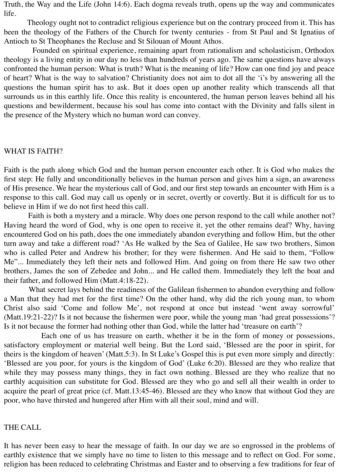Truth, the Way and the Life (John 14:6). Each dogma reveals truth, opens up the way and communicates life.

 Theology ought not to contradict religious experience but on the contrary proceed from it. This has been the theology of the Fathers of the Church for twenty centuries - from St Paul and St Ignatius of Antioch to St Theophanes the Recluse and St Silouan of Mount Athos.

 Founded on spiritual experience, remaining apart from rationalism and scholasticism, Orthodox theology is a living entity in our day no less than hundreds of years ago. The same questions have always confronted the human person: What is truth? What is the meaning of life? How can one find joy and peace of heart? What is the way to salvation? Christianity does not aim to dot all the 'i's by answering all the questions the human spirit has to ask. But it does open up another reality which transcends all that surrounds us in this earthly life. Once this reality is encountered, the human person leaves behind all his questions and bewilderment, because his soul has come into contact with the Divinity and falls silent in the presence of the Mystery which no human word can convey.

#### WHAT IS FAITH?

Faith is the path along which God and the human person encounter each other. It is God who makes the first step: He fully and unconditionally believes in the human person and gives him a sign, an awareness of His presence. We hear the mysterious call of God, and our first step towards an encounter with Him is a response to this call. God may call us openly or in secret, overtly or covertly. But it is difficult for us to believe in Him if we do not first heed this call.

 Faith is both a mystery and a miracle. Why does one person respond to the call while another not? Having heard the word of God, why is one open to receive it, yet the other remains deaf? Why, having encountered God on his path, does the one immediately abandon everything and follow Him, but the other turn away and take a different road? 'As He walked by the Sea of Galilee, He saw two brothers, Simon who is called Peter and Andrew his brother; for they were fishermen. And He said to them, "Follow Me"... Immediately they left their nets and followed Him. And going on from there He saw two other brothers, James the son of Zebedee and John... and He called them. Immediately they left the boat and their father, and followed Him (Matt.4:18-22).

 What secret lays behind the readiness of the Galilean fishermen to abandon everything and follow a Man that they had met for the first time? On the other hand, why did the rich young man, to whom Christ also said 'Come and follow Me', not respond at once but instead 'went away sorrowful' (Matt.19:21-22)? Is it not because the fishermen were poor, while the young man 'had great possessions'? Is it not because the former had nothing other than God, while the latter had 'treasure on earth'?

 Each one of us has treasure on earth, whether it be in the form of money or possessions, satisfactory employment or material well being. But the Lord said, 'Blessed are the poor in spirit, for theirs is the kingdom of heaven' (Matt.5:3). In St Luke's Gospel this is put even more simply and directly: 'Blessed are you poor, for yours is the kingdom of God' (Luke 6:20). Blessed are they who realize that while they may possess many things, they in fact own nothing. Blessed are they who realize that no earthly acquisition can substitute for God. Blessed are they who go and sell all their wealth in order to acquire the pearl of great price (cf. Matt.13:45-46). Blessed are they who know that without God they are poor, who have thirsted and hungered after Him with all their soul, mind and will.

# THE CALL

It has never been easy to hear the message of faith. In our day we are so engrossed in the problems of earthly existence that we simply have no time to listen to this message and to reflect on God. For some, religion has been reduced to celebrating Christmas and Easter and to observing a few traditions for fear of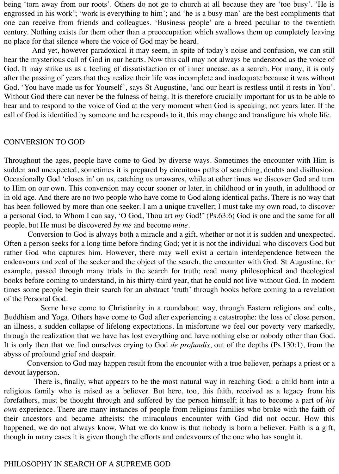being 'torn away from our roots'. Others do not go to church at all because they are 'too busy'. 'He is engrossed in his work'; 'work is everything to him'; and 'he is a busy man' are the best compliments that one can receive from friends and colleagues. 'Business people' are a breed peculiar to the twentieth century. Nothing exists for them other than a preoccupation which swallows them up completely leaving no place for that silence where the voice of God may be heard.

 And yet, however paradoxical it may seem, in spite of today's noise and confusion, we can still hear the mysterious call of God in our hearts. Now this call may not always be understood as the voice of God. It may strike us as a feeling of dissatisfaction or of inner unease, as a search. For many, it is only after the passing of years that they realize their life was incomplete and inadequate because it was without God. 'You have made us for Yourself', says St Augustine, 'and our heart is restless until it rests in You'. Without God there can never be the fulness of being. It is therefore crucially important for us to be able to hear and to respond to the voice of God at the very moment when God is speaking; not years later. If the call of God is identified by someone and he responds to it, this may change and transfigure his whole life.

## CONVERSION TO GOD

Throughout the ages, people have come to God by diverse ways. Sometimes the encounter with Him is sudden and unexpected, sometimes it is prepared by circuitous paths of searching, doubts and disillusion. Occasionally God 'closes in' on us, catching us unawares, while at other times we discover God and turn to Him on our own. This conversion may occur sooner or later, in childhood or in youth, in adulthood or in old age. And there are no two people who have come to God along identical paths. There is no way that has been followed by more than one seeker. I am a unique traveller; I must take my own road, to discover a personal God, to Whom I can say, 'O God, Thou art *my* God!' (Ps.63:6) God is one and the same for all people, but He must be discovered *by me* and become *mine*.

 Conversion to God is always both a miracle and a gift, whether or not it is sudden and unexpected. Often a person seeks for a long time before finding God; yet it is not the individual who discovers God but rather God who captures him. However, there may well exist a certain interdependence between the endeavours and zeal of the seeker and the object of the search, the encounter with God. St Augustine, for example, passed through many trials in the search for truth; read many philosophical and theological books before coming to understand, in his thirty-third year, that he could not live without God. In modern times some people begin their search for an abstract 'truth' through books before coming to a revelation of the Personal God.

 Some have come to Christianity in a roundabout way, through Eastern religions and cults, Buddhism and Yoga. Others have come to God after experiencing a catastrophe: the loss of close person, an illness, a sudden collapse of lifelong expectations. In misfortune we feel our poverty very markedly, through the realization that we have has lost everything and have nothing else or nobody other than God. It is only then that we find ourselves crying to God *de profundis*, out of the depths (Ps.130:1), from the abyss of profound grief and despair.

 Conversion to God may happen result from the encounter with a true believer, perhaps a priest or a devout layperson.

 There is, finally, what appears to be the most natural way in reaching God: a child born into a religious family who is raised as a believer. But here, too, this faith, received as a legacy from his forefathers, must be thought through and suffered by the person himself; it has to become a part of *his own* experience. There are many instances of people from religious families who broke with the faith of their ancestors and became atheists: the miraculous encounter with God did not occur. How this happened, we do not always know. What we do know is that nobody is born a believer. Faith is a gift, though in many cases it is given though the efforts and endeavours of the one who has sought it.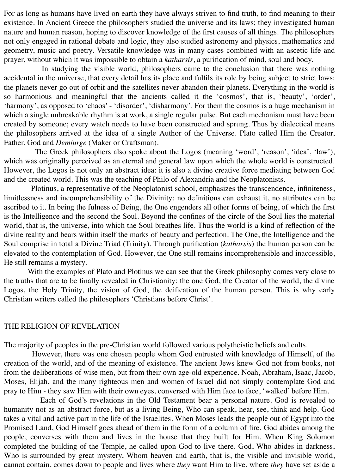For as long as humans have lived on earth they have always striven to find truth, to find meaning to their existence. In Ancient Greece the philosophers studied the universe and its laws; they investigated human nature and human reason, hoping to discover knowledge of the first causes of all things. The philosophers not only engaged in rational debate and logic, they also studied astronomy and physics, mathematics and geometry, music and poetry. Versatile knowledge was in many cases combined with an ascetic life and prayer, without which it was impossible to obtain a *katharsis*, a purification of mind, soul and body.

 In studying the visible world, philosophers came to the conclusion that there was nothing accidental in the universe, that every detail has its place and fulfils its role by being subject to strict laws: the planets never go out of orbit and the satellites never abandon their planets. Everything in the world is so harmonious and meaningful that the ancients called it the 'cosmos', that is, 'beauty', 'order', 'harmony', as opposed to 'chaos' - 'disorder', 'disharmony'. For them the cosmos is a huge mechanism in which a single unbreakable rhythm is at work, a single regular pulse. But each mechanism must have been created by someone; every watch needs to have been constructed and sprung. Thus by dialectical means the philosophers arrived at the idea of a single Author of the Universe. Plato called Him the Creator, Father, God and *Demiurge* (Maker or Craftsman).

 The Greek philosophers also spoke about the Logos (meaning 'word', 'reason', 'idea', 'law'), which was originally perceived as an eternal and general law upon which the whole world is constructed. However, the Logos is not only an abstract idea: it is also a divine creative force mediating between God and the created world. This was the teaching of Philo of Alexandria and the Neoplatonists.

 Plotinus, a representative of the Neoplatonist school, emphasizes the transcendence, infiniteness, limitlessness and incomprehensibility of the Divinity: no definitions can exhaust it, no attributes can be ascribed to it. In being the fulness of Being, the One engenders all other forms of being, of which the first is the Intelligence and the second the Soul. Beyond the confines of the circle of the Soul lies the material world, that is, the universe, into which the Soul breathes life. Thus the world is a kind of reflection of the divine reality and bears within itself the marks of beauty and perfection. The One, the Intelligence and the Soul comprise in total a Divine Triad (Trinity). Through purification (*katharsis*) the human person can be elevated to the contemplation of God. However, the One still remains incomprehensible and inaccessible, He still remains a mystery.

 With the examples of Plato and Plotinus we can see that the Greek philosophy comes very close to the truths that are to be finally revealed in Christianity: the one God, the Creator of the world, the divine Logos, the Holy Trinity, the vision of God, the deification of the human person. This is why early Christian writers called the philosophers 'Christians before Christ'.

#### THE RELIGION OF REVELATION

The majority of peoples in the pre-Christian world followed various polytheistic beliefs and cults.

 However, there was one chosen people whom God entrusted with knowledge of Himself, of the creation of the world, and of the meaning of existence. The ancient Jews knew God not from books, not from the deliberations of wise men, but from their own age-old experience. Noah, Abraham, Isaac, Jacob, Moses, Elijah, and the many righteous men and women of Israel did not simply contemplate God and pray to Him - they saw Him with their own eyes, conversed with Him face to face, 'walked' before Him.

 Each of God's revelations in the Old Testament bear a personal nature. God is revealed to humanity not as an abstract force, but as a living Being, Who can speak, hear, see, think and help. God takes a vital and active part in the life of the Israelites. When Moses leads the people out of Egypt into the Promised Land, God Himself goes ahead of them in the form of a column of fire. God abides among the people, converses with them and lives in the house that they built for Him. When King Solomon completed the building of the Temple, he called upon God to live there. God, Who abides in darkness, Who is surrounded by great mystery, Whom heaven and earth, that is, the visible and invisible world, cannot contain, comes down to people and lives where *they* want Him to live, where *they* have set aside a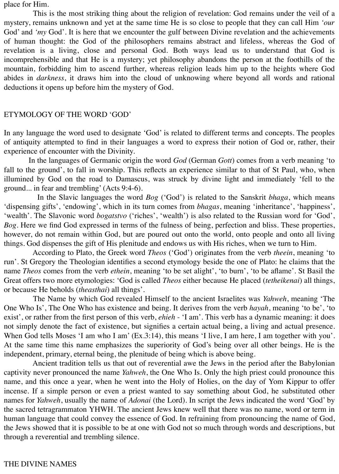place for Him.

 This is the most striking thing about the religion of revelation: God remains under the veil of a mystery, remains unknown and yet at the same time He is so close to people that they can call Him *'our* God' and *'my* God'. It is here that we encounter the gulf between Divine revelation and the achievements of human thought: the God of the philosophers remains abstract and lifeless, whereas the God of revelation is a living, close and personal God. Both ways lead us to understand that God is incomprehensible and that He is a mystery; yet philosophy abandons the person at the foothills of the mountain, forbidding him to ascend further, whereas religion leads him up to the heights where God abides in *darkness*, it draws him into the cloud of unknowing where beyond all words and rational deductions it opens up before him the mystery of God.

#### ETYMOLOGY OF THE WORD 'GOD'

In any language the word used to designate 'God' is related to different terms and concepts. The peoples of antiquity attempted to find in their languages a word to express their notion of God or, rather, their experience of encounter with the Divinity.

 In the languages of Germanic origin the word *God* (German *Gott*) comes from a verb meaning 'to fall to the ground', to fall in worship. This reflects an experience similar to that of St Paul, who, when illumined by God on the road to Damascus, was struck by divine light and immediately 'fell to the ground... in fear and trembling' (Acts 9:4-6).

 In the Slavic languages the word *Bog* ('God') is related to the Sanskrit *bhaga*, which means 'dispensing gifts', 'endowing', which in its turn comes from *bhagas*, meaning 'inheritance', 'happiness', 'wealth'. The Slavonic word *bogatstvo* ('riches', 'wealth') is also related to the Russian word for 'God', *Bog*. Here we find God expressed in terms of the fulness of being, perfection and bliss. These properties, however, do not remain within God, but are poured out onto the world, onto people and onto all living things. God dispenses the gift of His plenitude and endows us with His riches, when we turn to Him.

 According to Plato, the Greek word *Theos* ('God') originates from the verb *theein*, meaning 'to run'. St Gregory the Theologian identifies a second etymology beside the one of Plato: he claims that the name *Theos* comes from the verb *ethein*, meaning 'to be set alight', 'to burn', 'to be aflame'. St Basil the Great offers two more etymologies: 'God is called *Theos* either because He placed (*tetheikenai*) all things, or because He beholds (*theasthai*) all things'.

 The Name by which God revealed Himself to the ancient Israelites was *Yahweh*, meaning 'The One Who Is', The One Who has existence and being. It derives from the verb *hayah*, meaning 'to be', 'to exist', or rather from the first person of this verb, *ehieh* - 'I am'. This verb has a dynamic meaning: it does not simply denote the fact of existence, but signifies a certain actual being, a living and actual presence. When God tells Moses 'I am who I am' (Ex.3:14), this means 'I live, I am here, I am together with you'. At the same time this name emphasizes the superiority of God's being over all other beings. He is the independent, primary, eternal being, the plenitude of being which is above being.

 Ancient tradition tells us that out of reverential awe the Jews in the period after the Babylonian captivity never pronounced the name *Yahweh*, the One Who Is. Only the high priest could pronounce this name, and this once a year, when he went into the Holy of Holies, on the day of Yom Kippur to offer incense. If a simple person or even a priest wanted to say something about God, he substituted other names for *Yahweh*, usually the name of *Adonai* (the Lord). In script the Jews indicated the word 'God' by the sacred tetragrammaton YHWH. The ancient Jews knew well that there was no name, word or term in human language that could convey the essence of God. In refraining from pronouncing the name of God, the Jews showed that it is possible to be at one with God not so much through words and descriptions, but through a reverential and trembling silence.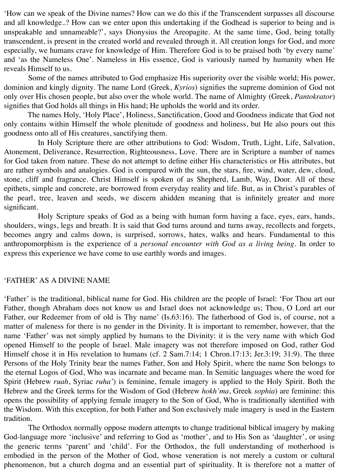'How can we speak of the Divine names? How can we do this if the Transcendent surpasses all discourse and all knowledge..? How can we enter upon this undertaking if the Godhead is superior to being and is unspeakable and unnameable?', says Dionysius the Areopagite. At the same time, God, being totally transcendent, is present in the created world and revealed through it. All creation longs for God, and more especially, we humans crave for knowledge of Him. Therefore God is to be praised both 'by every name' and 'as the Nameless One'. Nameless in His essence, God is variously named by humanity when He reveals Himself to us.

 Some of the names attributed to God emphasize His superiority over the visible world; His power, dominion and kingly dignity. The name Lord (Greek, *Kyrios*) signifies the supreme dominion of God not only over His chosen people, but also over the whole world. The name of Almighty (Greek, *Pantokrator*) signifies that God holds all things in His hand; He upholds the world and its order.

 The names Holy, 'Holy Place', Holiness, Sanctification, Good and Goodness indicate that God not only contains within Himself the whole plenitude of goodness and holiness, but He also pours out this goodness onto all of His creatures, sanctifying them.

 In Holy Scripture there are other attributions to God: Wisdom, Truth, Light, Life, Salvation, Atonement, Deliverance, Resurrection, Righteousness, Love. There are in Scripture a number of names for God taken from nature. These do not attempt to define either His characteristics or His attributes, but are rather symbols and analogies. God is compared with the sun, the stars, fire, wind, water, dew, cloud, stone, cliff and fragrance. Christ Himself is spoken of as Shepherd, Lamb, Way, Door. All of these epithets, simple and concrete, are borrowed from everyday reality and life. But, as in Christ's parables of the pearl, tree, leaven and seeds, we discern ahidden meaning that is infinitely greater and more significant.

 Holy Scripture speaks of God as a being with human form having a face, eyes, ears, hands, shoulders, wings, legs and breath. It is said that God turns around and turns away, recollects and forgets, becomes angry and calms down, is surprised, sorrows, hates, walks and hears. Fundamental to this anthropomorphism is the experience of a *personal encounter with God as a living being*. In order to express this experience we have come to use earthly words and images.

## 'FATHER' AS A DIVINE NAME

'Father' is the traditional, biblical name for God. His children are the people of Israel: 'For Thou art our Father, though Abraham does not know us and Israel does not acknowledge us; Thou, O Lord art our Father, our Redeemer from of old is Thy name' (Is.63:16). The fatherhood of God is, of course, not a matter of maleness for there is no gender in the Divinity. It is important to remember, however, that the name 'Father' was not simply applied by humans to the Divinity: it is the very name with which God opened Himself to the people of Israel. Male imagery was not therefore imposed on God, rather God Himself chose it in His revelation to humans (cf. 2 Sam.7:14; 1 Chron.17:13; Jer.3:19; 31:9). The three Persons of the Holy Trinity bear the names Father, Son and Holy Spirit, where the name Son belongs to the eternal Logos of God, Who was incarnate and became man. In Semitic languages where the word for Spirit (Hebrew *ruah*, Syriac *ruha'*) is feminine, female imagery is applied to the Holy Spirit. Both the Hebrew and the Greek terms for the Wisdom of God (Hebrew *hokh'ma*, Greek *sophia*) are feminine: this opens the possibility of applying female imagery to the Son of God, Who is traditionally identified with the Wisdom. With this exception, for both Father and Son exclusively male imagery is used in the Eastern tradition.

 The Orthodox normally oppose modern attempts to change traditional biblical imagery by making God-language more 'inclusive' and referring to God as 'mother', and to His Son as 'daughter', or using the generic terms 'parent' and 'child'. For the Orthodox, the full understanding of motherhood is embodied in the person of the Mother of God, whose veneration is not merely a custom or cultural phenomenon, but a church dogma and an essential part of spirituality. It is therefore not a matter of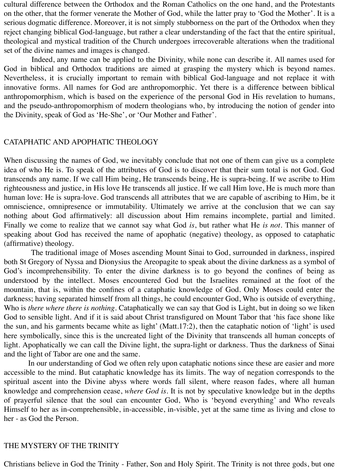cultural difference between the Orthodox and the Roman Catholics on the one hand, and the Protestants on the other, that the former venerate the Mother of God, while the latter pray to 'God the Mother'. It is a serious dogmatic difference. Moreover, it is not simply stubborness on the part of the Orthodox when they reject changing biblical God-language, but rather a clear understanding of the fact that the entire spiritual, theological and mystical tradition of the Church undergoes irrecoverable alterations when the traditional set of the divine names and images is changed.

 Indeed, any name can be applied to the Divinity, while none can describe it. All names used for God in biblical and Orthodox traditions are aimed at grasping the mystery which is beyond names. Nevertheless, it is crucially important to remain with biblical God-language and not replace it with innovative forms. All names for God are anthropomorphic. Yet there is a difference between biblical anthropomorphism, which is based on the experience of the personal God in His revelation to humans, and the pseudo-anthropomorphism of modern theologians who, by introducing the notion of gender into the Divinity, speak of God as 'He-She', or 'Our Mother and Father'.

# CATAPHATIC AND APOPHATIC THEOLOGY

When discussing the names of God, we inevitably conclude that not one of them can give us a complete idea of who He is. To speak of the attributes of God is to discover that their sum total is not God. God transcends any name. If we call Him being, He transcends being, He is supra-being. If we ascribe to Him righteousness and justice, in His love He transcends all justice. If we call Him love, He is much more than human love: He is supra-love. God transcends all attributes that we are capable of ascribing to Him, be it omniscience, omnipresence or immutability. Ultimately we arrive at the conclusion that we can say nothing about God affirmatively: all discussion about Him remains incomplete, partial and limited. Finally we come to realize that we cannot say what God *is*, but rather what He *is not*. This manner of speaking about God has received the name of apophatic (negative) theology, as opposed to cataphatic (affirmative) theology.

 The traditional image of Moses ascending Mount Sinai to God, surrounded in darkness, inspired both St Gregory of Nyssa and Dionysius the Areopagite to speak about the divine darkness as a symbol of God's incomprehensibility. To enter the divine darkness is to go beyond the confines of being as understood by the intellect. Moses encountered God but the Israelites remained at the foot of the mountain, that is, within the confines of a cataphatic knowledge of God. Only Moses could enter the darkness; having separated himself from all things, he could encounter God, Who is outside of everything, Who is *there where there is nothing*. Cataphatically we can say that God is Light, but in doing so we liken God to sensible light. And if it is said about Christ transfigured on Mount Tabor that 'his face shone like the sun, and his garments became white as light' (Matt.17:2), then the cataphatic notion of 'light' is used here symbolically, since this is the uncreated light of the Divinity that transcends all human concepts of light. Apophatically we can call the Divine light, the supra-light or darkness. Thus the darkness of Sinai and the light of Tabor are one and the same.

 In our understanding of God we often rely upon cataphatic notions since these are easier and more accessible to the mind. But cataphatic knowledge has its limits. The way of negation corresponds to the spiritual ascent into the Divine abyss where words fall silent, where reason fades, where all human knowledge and comprehension cease, *where God is*. It is not by speculative knowledge but in the depths of prayerful silence that the soul can encounter God, Who is 'beyond everything' and Who reveals Himself to her as in-comprehensible, in-accessible, in-visible, yet at the same time as living and close to her - as God the Person.

# THE MYSTERY OF THE TRINITY

Christians believe in God the Trinity - Father, Son and Holy Spirit. The Trinity is not three gods, but one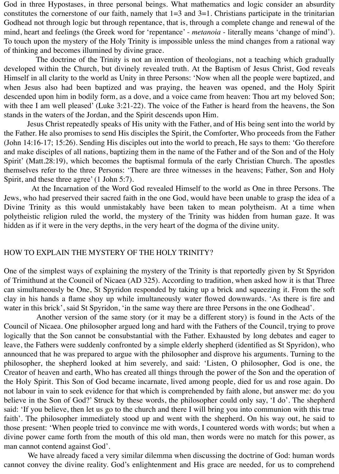God in three Hypostases, in three personal beings. What mathematics and logic consider an absurdity constitutes the cornerstone of our faith, namely that  $1=3$  and  $3=1$ . Christians participate in the trinitarian Godhead not through logic but through repentance, that is, through a complete change and renewal of the mind, heart and feelings (the Greek word for 'repentance' - *metanoia* - literally means 'change of mind'). To touch upon the mystery of the Holy Trinity is impossible unless the mind changes from a rational way of thinking and becomes illumined by divine grace.

 The doctrine of the Trinity is not an invention of theologians, not a teaching which gradually developed within the Church, but divinely revealed truth. At the Baptism of Jesus Christ, God reveals Himself in all clarity to the world as Unity in three Persons: 'Now when all the people were baptized, and when Jesus also had been baptized and was praying, the heaven was opened, and the Holy Spirit descended upon him in bodily form, as a dove, and a voice came from heaven: Thou art my beloved Son; with thee I am well pleased' (Luke 3:21-22). The voice of the Father is heard from the heavens, the Son stands in the waters of the Jordan, and the Spirit descends upon Him.

 Jesus Christ repeatedly speaks of His unity with the Father, and of His being sent into the world by the Father. He also promises to send His disciples the Spirit, the Comforter, Who proceeds from the Father (John 14:16-17; 15:26). Sending His disciples out into the world to preach, He says to them: 'Go therefore and make disciples of all nations, baptizing them in the name of the Father and of the Son and of the Holy Spirit' (Matt.28:19), which becomes the baptismal formula of the early Christian Church. The apostles themselves refer to the three Persons: 'There are three witnesses in the heavens; Father, Son and Holy Spirit, and these three agree' (1 John 5:7).

 At the Incarnation of the Word God revealed Himself to the world as One in three Persons. The Jews, who had preserved their sacred faith in the one God, would have been unable to grasp the idea of a Divine Trinity as this would unmistakably have been taken to mean polytheism. At a time when polytheistic religion ruled the world, the mystery of the Trinity was hidden from human gaze. It was hidden as if it were in the very depths, in the very heart of the dogma of the divine unity.

### HOW TO EXPLAIN THE MYSTERY OF THE HOLY TRINITY?

One of the simplest ways of explaining the mystery of the Trinity is that reportedly given by St Spyridon of Trimithund at the Council of Nicaea (AD 325). According to tradition, when asked how it is that Three can simultaneously be One, St Spyridon responded by taking up a brick and squeezing it. From the soft clay in his hands a flame shoy up while imultaneously water flowed downwards. 'As there is fire and water in this brick', said St Spyridon, 'in the same way there are three Persons in the one Godhead'.

 Another version of the same story (or it may be a different story) is found in the Acts of the Council of Nicaea. One philosopher argued long and hard with the Fathers of the Council, trying to prove logically that the Son cannot be consubstantial with the Father. Exhausted by long debates and eager to leave, the Fathers were suddenly confronted by a simple elderly shepherd (identified as St Spyridon), who announced that he was prepared to argue with the philosopher and disprove his arguments. Turning to the philosopher, the shepherd looked at him severely, and said: 'Listen, O philosopher, God is one, the Creator of heaven and earth, Who has created all things through the power of the Son and the operation of the Holy Spirit. This Son of God became incarnate, lived among people, died for us and rose again. Do not labour in vain to seek evidence for that which is comprehended by faith alone, but answer me: do you believe in the Son of God?' Struck by these words, the philosopher could only say, 'I do'. The shepherd said: 'If you believe, then let us go to the church and there I will bring you into communion with this true faith'. The philosopher immediately stood up and went with the shepherd. On his way out, he said to those present: 'When people tried to convince me with words, I countered words with words; but when a divine power came forth from the mouth of this old man, then words were no match for this power, as man cannot contend against God'.

We have already faced a very similar dilemma when discussing the doctrine of God: human words cannot convey the divine reality. God's enlightenment and His grace are needed, for us to comprehend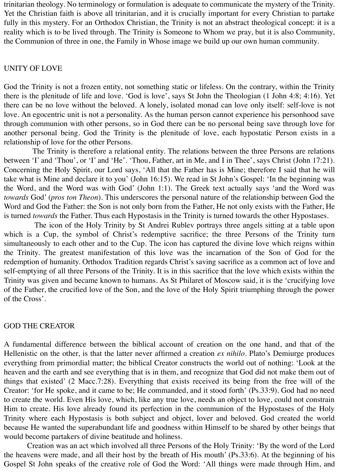trinitarian theology. No terminology or formulation is adequate to communicate the mystery of the Trinity. Yet the Christian faith is above all trinitarian, and it is crucially important for every Christian to partake fully in this mystery. For an Orthodox Christian, the Trinity is not an abstract theological concept: it is a reality which is to be lived through. The Trinity is Someone to Whom we pray, but it is also Community, the Communion of three in one, the Family in Whose image we build up our own human community.

### UNITY OF LOVE

God the Trinity is not a frozen entity, not something static or lifeless. On the contrary, within the Trinity there is the plenitude of life and love. 'God is love', says St John the Theologian (1 John 4:8; 4:16). Yet there can be no love without the beloved. A lonely, isolated monad can love only itself: self-love is not love. An egocentric unit is not a personality. As the human person cannot experience his personhood save through communion with other persons, so in God there can be no personal being save through love for another personal being. God the Trinity is the plenitude of love, each hypostatic Person exists in a relationship of love for the other Persons.

 The Trinity is therefore a relational entity. The relations between the three Persons are relations between 'I' and 'Thou', or 'I' and 'He'. 'Thou, Father, art in Me, and I in Thee', says Christ (John 17:21). Concerning the Holy Spirit, our Lord says, 'All that the Father has is Mine; therefore I said that he will take what is Mine and declare it to you' (John 16:15). We read in St John's Gospel: 'In the beginning was the Word, and the Word was with God' (John 1:1). The Greek text actually says 'and the Word was *towards* God' (*pros ton Theon*). This underscores the personal nature of the relationship between God the Word and God the Father: the Son is not only born from the Father, He not only exists with the Father, He is turned *towards* the Father. Thus each Hypostasis in the Trinity is turned towards the other Hypostases.

 The icon of the Holy Trinity by St Andrei Rublev portrays three angels sitting at a table upon which is a Cup, the symbol of Christ's redemptive sacrifice; the three Persons of the Trinity turn simultaneously to each other and to the Cup. The icon has captured the divine love which reigns within the Trinity. The greatest manifestation of this love was the incarnation of the Son of God for the redemption of humanity. Orthodox Tradition regards Christ's saving sacrifice as a common act of love and self-emptying of all three Persons of the Trinity. It is in this sacrifice that the love which exists within the Trinity was given and became known to humans. As St Philaret of Moscow said, it is the 'crucifying love of the Father, the crucified love of the Son, and the love of the Holy Spirit triumphing through the power of the Cross'.

### GOD THE CREATOR

A fundamental difference between the biblical account of creation on the one hand, and that of the Hellenistic on the other, is that the latter never affirmed a creation *ex nihilo*. Plato's Demiurge produces everything from primordial matter; the biblical Creator constructs the world out of nothing: 'Look at the heaven and the earth and see everything that is in them, and recognize that God did not make them out of things that existed' (2 Macc.7:28). Everything that exists received its being from the free will of the Creator: 'for He spoke, and it came to be; He commanded, and it stood forth' (Ps.33:9). God had no need to create the world. Even His love, which, like any true love, needs an object to love, could not constrain Him to create. His love already found its perfection in the communion of the Hypostases of the Holy Trinity where each Hypostasis is both subject and object, lover and beloved. God created the world because He wanted the superabundant life and goodness within Himself to be shared by other beings that would become partakers of divine beatitude and holiness.

 Creation was an act which involved all three Persons of the Holy Trinity: 'By the word of the Lord the heavens were made, and all their host by the breath of His mouth' (Ps.33:6). At the beginning of his Gospel St John speaks of the creative role of God the Word: 'All things were made through Him, and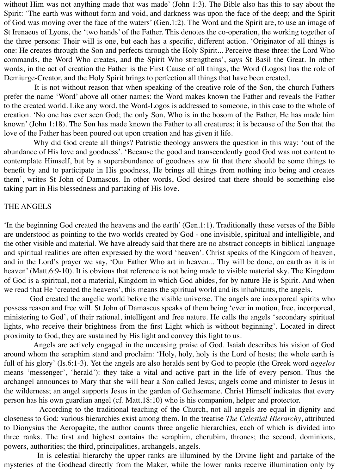without Him was not anything made that was made' (John 1:3). The Bible also has this to say about the Spirit: 'The earth was without form and void, and darkness was upon the face of the deep; and the Spirit of God was moving over the face of the waters' (Gen.1:2). The Word and the Spirit are, to use an image of St Irenaeus of Lyons, the 'two hands' of the Father. This denotes the co-operation, the working together of the three persons: Their will is one, but each has a specific, different action. 'Originator of all things is one: He creates through the Son and perfects through the Holy Spirit... Perceive these three: the Lord Who commands, the Word Who creates, and the Spirit Who strengthens', says St Basil the Great. In other words, in the act of creation the Father is the First Cause of all things, the Word (Logos) has the role of Demiurge-Creator, and the Holy Spirit brings to perfection all things that have been created.

 It is not without reason that when speaking of the creative role of the Son, the church Fathers prefer the name 'Word' above all other names: the Word makes known the Father and reveals the Father to the created world. Like any word, the Word-Logos is addressed to someone, in this case to the whole of creation. 'No one has ever seen God; the only Son, Who is in the bosom of the Father, He has made him known' (John 1:18). The Son has made known the Father to all creatures; it is because of the Son that the love of the Father has been poured out upon creation and has given it life.

 Why did God create all things? Patristic theology answers the question in this way: 'out of the abundance of His love and goodness'. 'Because the good and transcendently good God was not content to contemplate Himself, but by a superabundance of goodness saw fit that there should be some things to benefit by and to participate in His goodness, He brings all things from nothing into being and creates them', writes St John of Damascus. In other words, God desired that there should be something else taking part in His blessedness and partaking of His love.

#### THE ANGELS

'In the beginning God created the heavens and the earth' (Gen.1:1). Traditionally these verses of the Bible are understood as pointing to the two worlds created by God - one invisible, spiritual and intelligible, and the other visible and material. We have already said that there are no abstract concepts in biblical language and spiritual realities are often expressed by the word 'heaven'. Christ speaks of the Kingdom of heaven, and in the Lord's prayer we say, 'Our Father Who art in heaven... Thy will be done, on earth as it is in heaven' (Matt.6:9-10). It is obvious that reference is not being made to visible material sky. The Kingdom of God is a spiritual, not a material, Kingdom in which God abides, for by nature He is Spirit. And when we read that He 'created the heavens', this means the spiritual world and its inhabitants, the angels.

 God created the angelic world before the visible universe. The angels are incorporeal spirits who possess reason and free will. St John of Damascus speaks of them being 'ever in motion, free, incorporeal, ministering to God', of their rational, intelligent and free nature. He calls the angels 'secondary spiritual lights, who receive their brightness from the first Light which is without beginning'. Located in direct proximity to God, they are sustained by His light and convey this light to us.

 Angels are actively engaged in the unceasing praise of God. Isaiah describes his vision of God around whom the seraphim stand and proclaim: 'Holy, holy, holy is the Lord of hosts; the whole earth is full of his glory' (Is.6:1-3). Yet the angels are also heralds sent by God to people (the Greek word *aggelos* means 'messenger', 'herald'): they take a vital and active part in the life of every person. Thus the archangel announces to Mary that she will bear a Son called Jesus; angels come and minister to Jesus in the wilderness; an angel supports Jesus in the garden of Gethsemane. Christ Himself indicates that every person has his own guardian angel (cf. Matt.18:10) who is his companion, helper and protector.

 According to the traditional teaching of the Church, not all angels are equal in dignity and closeness to God: various hierarchies exist among them. In the treatise *The Celestial Hierarchy*, attributed to Dionysius the Aeropagite, the author counts three angelic hierarchies, each of which is divided into three ranks. The first and highest contains the seraphim, cherubim, thrones; the second, dominions, powers, authorities; the third, principalities, archangels, angels.

 In is celestial hierarchy the upper ranks are illumined by the Divine light and partake of the mysteries of the Godhead directly from the Maker, while the lower ranks receive illumination only by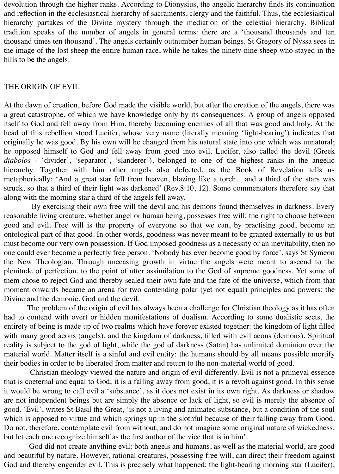devolution through the higher ranks. According to Dionysius, the angelic hierarchy finds its continuation and reflection in the ecclesiastical hierarchy of sacraments, clergy and the faithful. Thus, the ecclesiastical hierarchy partakes of the Divine mystery through the mediation of the celestial hierarchy. Biblical tradition speaks of the number of angels in general terms: there are a 'thousand thousands and ten thousand times ten thousand'. The angels certainly outnumber human beings. St Gregory of Nyssa sees in the image of the lost sheep the entire human race, while he takes the ninety-nine sheep who stayed in the hills to be the angels.

## THE ORIGIN OF EVIL

At the dawn of creation, before God made the visible world, but after the creation of the angels, there was a great catastrophe, of which we have knowledge only by its consequences. A group of angels opposed itself to God and fell away from Him, thereby becoming enemies of all that was good and holy. At the head of this rebellion stood Lucifer, whose very name (literally meaning 'light-bearing') indicates that originally he was good. By his own will he changed from his natural state into one which was unnatural; he opposed himself to God and fell away from good into evil. Lucifer, also called the devil (Greek *diabolos* - 'divider', 'separator', 'slanderer'), belonged to one of the highest ranks in the angelic hierarchy. Together with him other angels also defected, as the Book of Revelation tells us metaphorically: 'And a great star fell from heaven, blazing like a torch... and a third of the stars was struck, so that a third of their light was darkened' (Rev.8:10, 12). Some commentators therefore say that along with the morning star a third of the angels fell away.

 By exercising their own free will the devil and his demons found themselves in darkness. Every reasonable living creature, whether angel or human being, possesses free will: the right to choose between good and evil. Free will is the property of everyone so that we can, by practising good, become an ontological part of that good. In other words, goodness was never meant to be granted externally to us but must become our very own possession. If God imposed goodness as a necessity or an inevitability, then no one could ever become a perfectly free person. 'Nobody has ever become good by force', says St Symeon the New Theologian. Through unceasing growth in virtue the angels were meant to ascend to the plenitude of perfection, to the point of utter assimilation to the God of supreme goodness. Yet some of them chose to reject God and thereby sealed their own fate and the fate of the universe, which from that moment onwards became an arena for two contending polar (yet not equal) principles and powers: the Divine and the demonic, God and the devil.

 The problem of the origin of evil has always been a challenge for Christian theology as it has often had to contend with overt or hidden manifestations of dualism. According to some dualistic sects, the entirety of being is made up of two realms which have forever existed together: the kingdom of light filled with many good aeons (angels), and the kingdom of darkness, filled with evil aeons (demons). Spiritual reality is subject to the god of light, while the god of darkness (Satan) has unlimited dominion over the material world. Matter itself is a sinful and evil entity: the humans should by all means possible mortify their bodies in order to be liberated from matter and return to the non-material world of good.

 Christian theology viewed the nature and origin of evil differently. Evil is not a primeval essence that is coeternal and equal to God; it is a falling away from good, it is a revolt against good. In this sense it would be wrong to call evil a 'substance', as it does not exist in its own right. As darkness or shadow are not independent beings but are simply the absence or lack of light, so evil is merely the absence of good. 'Evil', writes St Basil the Great, 'is not a living and animated substance, but a condition of the soul which is opposed to virtue and which springs up in the slothful because of their falling away from Good. Do not, therefore, contemplate evil from without; and do not imagine some original nature of wickedness, but let each one recognize himself as the first author of the vice that is in him'.

 God did not create anything evil: both angels and humans, as well as the material world, are good and beautiful by nature. However, rational creatures, possessing free will, can direct their freedom against God and thereby engender evil. This is precisely what happened: the light-bearing morning star (Lucifer),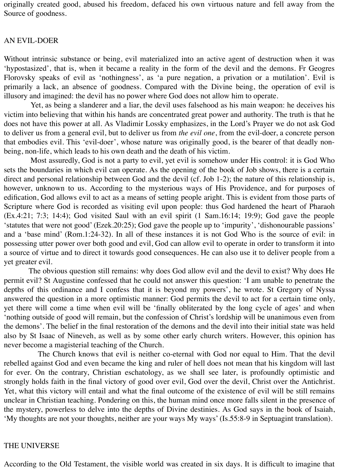originally created good, abused his freedom, defaced his own virtuous nature and fell away from the Source of goodness.

#### AN EVIL-DOER

Without intrinsic substance or being, evil materialized into an active agent of destruction when it was 'hypostasized', that is, when it became a reality in the form of the devil and the demons. Fr Geogres Florovsky speaks of evil as 'nothingness', as 'a pure negation, a privation or a mutilation'. Evil is primarily a lack, an absence of goodness. Compared with the Divine being, the operation of evil is illusory and imagined: the devil has no power where God does not allow him to operate.

 Yet, as being a slanderer and a liar, the devil uses falsehood as his main weapon: he deceives his victim into believing that within his hands are concentrated great power and authority. The truth is that he does not have this power at all. As Vladimir Lossky emphasizes, in the Lord's Prayer we do not ask God to deliver us from a general evil, but to deliver us from *the evil one*, from the evil-doer, a concrete person that embodies evil. This 'evil-doer', whose nature was originally good, is the bearer of that deadly nonbeing, non-life, which leads to his own death and the death of his victim.

 Most assuredly, God is not a party to evil, yet evil is somehow under His control: it is God Who sets the boundaries in which evil can operate. As the opening of the book of Job shows, there is a certain direct and personal relationship between God and the devil (cf. Job 1-2); the nature of this relationship is, however, unknown to us. According to the mysterious ways of His Providence, and for purposes of edification, God allows evil to act as a means of setting people aright. This is evident from those parts of Scripture where God is recorded as visiting evil upon people: thus God hardened the heart of Pharaoh (Ex.4:21; 7:3; 14:4); God visited Saul with an evil spirit (1 Sam.16:14; 19:9); God gave the people 'statutes that were not good' (Ezek.20:25); God gave the people up to 'impurity', 'dishonourable passions' and a 'base mind' (Rom.1:24-32). In all of these instances it is not God Who is the source of evil: in possessing utter power over both good and evil, God can allow evil to operate in order to transform it into a source of virtue and to direct it towards good consequences. He can also use it to deliver people from a yet greater evil.

 The obvious question still remains: why does God allow evil and the devil to exist? Why does He permit evil? St Augustine confessed that he could not answer this question: 'I am unable to penetrate the depths of this ordinance and I confess that it is beyond my powers', he wrote. St Gregory of Nyssa answered the question in a more optimistic manner: God permits the devil to act for a certain time only, yet there will come a time when evil will be 'finally obliterated by the long cycle of ages' and when 'nothing outside of good will remain, but the confession of Christ's lordship will be unanimous even from the demons'. The belief in the final restoration of the demons and the devil into their initial state was held also by St Isaac of Nineveh, as well as by some other early church writers. However, this opinion has never become a magisterial teaching of the Church.

 The Church knows that evil is neither co-eternal with God nor equal to Him. That the devil rebelled against God and even became the king and ruler of hell does not mean that his kingdom will last for ever. On the contrary, Christian eschatology, as we shall see later, is profoundly optimistic and strongly holds faith in the final victory of good over evil, God over the devil, Christ over the Antichrist. Yet, what this victory will entail and what the final outcome of the existence of evil will be still remains unclear in Christian teaching. Pondering on this, the human mind once more falls silent in the presence of the mystery, powerless to delve into the depths of Divine destinies. As God says in the book of Isaiah, 'My thoughts are not your thoughts, neither are your ways My ways' (Is.55:8-9 in Septuagint translation).

#### THE UNIVERSE

According to the Old Testament, the visible world was created in six days. It is difficult to imagine that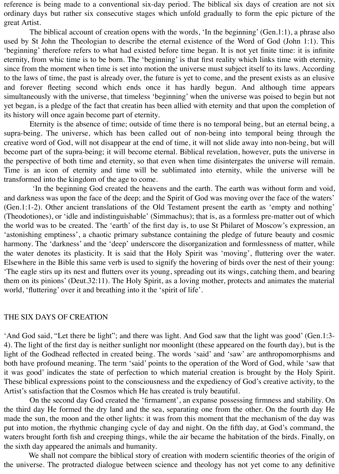reference is being made to a conventional six-day period. The biblical six days of creation are not six ordinary days but rather six consecutive stages which unfold gradually to form the epic picture of the great Artist.

 The biblical account of creation opens with the words, 'In the beginning' (Gen.1:1), a phrase also used by St John the Theologian to describe the eternal existence of the Word of God (John 1:1). This 'beginning' therefore refers to what had existed before time began. It is not yet finite time: it is infinite eternity, from whic time is to be born. The 'beginning' is that first reality which links time with eternity, since from the moment when time is set into motion the universe must subject itself to its laws. According to the laws of time, the past is already over, the future is yet to come, and the present exists as an elusive and forever fleeting second which ends once it has hardly begun. And although time appears simultaneously with the universe, that timeless 'beginning' when the universe was poised to begin but not yet began, is a pledge of the fact that creatin has been allied with eternity and that upon the completion of its history will once again become part of eternity.

 Eternity is the absence of time; outside of time there is no temporal being, but an eternal being, a supra-being. The universe, which has been called out of non-being into temporal being through the creative word of God, will not disappear at the end of time, it will not slide away into non-being, but will become part of the supra-being; it will become eternal. Biblical revelation, however, puts the universe in the perspective of both time and eternity, so that even when time disintergates the universe will remain. Time is an icon of eternity and time will be sublimated into eternity, while the universe will be transformed into the kingdom of the age to come.

 'In the beginning God created the heavens and the earth. The earth was without form and void, and darkness was upon the face of the deep; and the Spirit of God was moving over the face of the waters' (Gen.1:1-2). Other ancient translations of the Old Testament present the earth as 'empty and nothing' (Theodotiones), or 'idle and indistinguishable' (Simmachus); that is, as a formless pre-matter out of which the world was to be created. The 'earth' of the first day is, to use St Philaret of Moscow's expression, an 'astonishing emptiness', a chaotic primary substance containing the pledge of future beauty and cosmic harmony. The 'darkness' and the 'deep' underscore the disorganization and formlessness of matter, while the water denotes its plasticity. It is said that the Holy Spirit was 'moving', fluttering over the water. Elsewhere in the Bible this same verb is used to signify the hovering of birds over the nest of their young: 'The eagle stirs up its nest and flutters over its young, spreading out its wings, catching them, and bearing them on its pinions' (Deut.32:11). The Holy Spirit, as a loving mother, protects and animates the material world, 'fluttering' over it and breathing into it the 'spirit of life'.

#### THE SIX DAYS OF CREATION

'And God said, "Let there be light"; and there was light. And God saw that the light was good' (Gen.1:3- 4). The light of the first day is neither sunlight nor moonlight (these appeared on the fourth day), but is the light of the Godhead reflected in created being. The words 'said' and 'saw' are anthropomorphisms and both have profound meaning. The term 'said' points to the operation of the Word of God, while 'saw that it was good' indicates the state of perfection to which material creation is brought by the Holy Spirit. These biblical expressions point to the consciousness and the expediency of God's creative activity, to the Artist's satisfaction that the Cosmos which He has created is truly beautiful.

 On the second day God created the 'firmament', an expanse possessing firmness and stability. On the third day He formed the dry land and the sea, separating one from the other. On the fourth day He made the sun, the moon and the other lights: it was from this moment that the mechanism of the day was put into motion, the rhythmic changing cycle of day and night. On the fifth day, at God's command, the waters brought forth fish and creeping things, while the air became the habitation of the birds. Finally, on the sixth day appeared the animals and humanity.

We shall not compare the biblical story of creation with modern scientific theories of the origin of the universe. The protracted dialogue between science and theology has not yet come to any definitive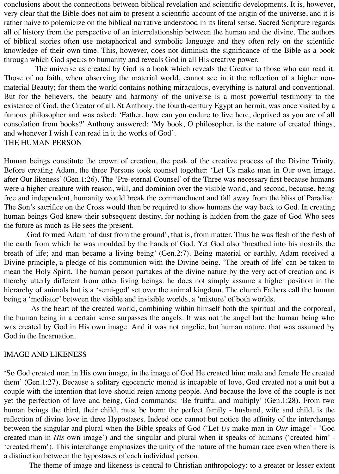conclusions about the connections between biblical revelation and scientific developments. It is, however, very clear that the Bible does not aim to present a scientific account of the origin of the universe, and it is rather naive to polemicize on the biblical narrative understood in its literal sense. Sacred Scripture regards all of history from the perspective of an interrelationship between the human and the divine. The authors of biblical stories often use metaphorical and symbolic language and they often rely on the scientific knowledge of their own time. This, however, does not diminish the significance of the Bible as a book through which God speaks to humanity and reveals God in all His creative power.

 The universe as created by God is a book which reveals the Creator to those who can read it. Those of no faith, when observing the material world, cannot see in it the reflection of a higher nonmaterial Beauty; for them the world contains nothing miraculous, everything is natural and conventional. But for the believers, the beauty and harmony of the universe is a most powerful testimony to the existence of God, the Creator of all. St Anthony, the fourth-century Egyptian hermit, was once visited by a famous philosopher and was asked: 'Father, how can you endure to live here, deprived as you are of all consolation from books?' Anthony answered: 'My book, O philosopher, is the nature of created things, and whenever I wish I can read in it the works of God'. THE HUMAN PERSON

Human beings constitute the crown of creation, the peak of the creative process of the Divine Trinity. Before creating Adam, the three Persons took counsel together: 'Let Us make man in Our own image, after Our likeness' (Gen.1:26). The 'Pre-eternal Counsel' of the Three was necessary first because humans were a higher creature with reason, will, and dominion over the visible world, and second, because, being free and independent, humanity would break the commandment and fall away from the bliss of Paradise. The Son's sacrifice on the Cross would then be required to show humans the way back to God. In creating human beings God knew their subsequent destiny, for nothing is hidden from the gaze of God Who sees the future as much as He sees the present.

 God formed Adam 'of dust from the ground', that is, from matter. Thus he was flesh of the flesh of the earth from which he was moulded by the hands of God. Yet God also 'breathed into his nostrils the breath of life; and man became a living being' (Gen.2:7). Being material or earthly, Adam received a Divine principle, a pledge of his communion with the Divine being. 'The breath of life' can be taken to mean the Holy Spirit. The human person partakes of the divine nature by the very act of creation and is thereby utterly different from other living beings: he does not simply assume a higher position in the hierarchy of animals but is a 'semi-god' set over the animal kingdom. The church Fathers call the human being a 'mediator' between the visible and invisible worlds, a 'mixture' of both worlds.

 As the heart of the created world, combining within himself both the spiritual and the corporeal, the human being in a certain sense surpasses the angels. It was not the angel but the human being who was created by God in His own image. And it was not angelic, but human nature, that was assumed by God in the Incarnation.

### IMAGE AND LIKENESS

'So God created man in His own image, in the image of God He created him; male and female He created them' (Gen.1:27). Because a solitary egocentric monad is incapable of love, God created not a unit but a couple with the intention that love should reign among people. And because the love of the couple is not yet the perfection of love and being, God commands: 'Be fruitful and multiply' (Gen.1:28). From two human beings the third, their child, must be born: the perfect family - husband, wife and child, is the reflection of divine love in three Hypostases. Indeed one cannot but notice the affinity of the interchange between the singular and plural when the Bible speaks of God ('Let *Us* make man in *Our* image' - 'God created man in *His* own image') and the singular and plural when it speaks of humans ('created him' - 'created them'). This interchange emphasizes the unity of the nature of the human race even when there is a distinction between the hypostases of each individual person.

The theme of image and likeness is central to Christian anthropology: to a greater or lesser extent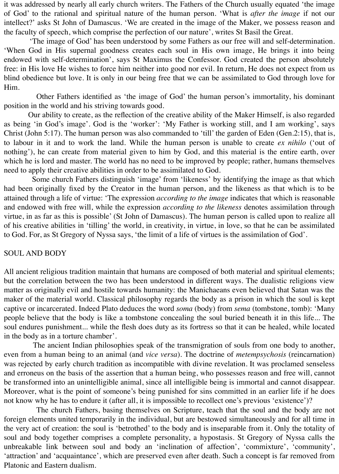it was addressed by nearly all early church writers. The Fathers of the Church usually equated 'the image of God' to the rational and spiritual nature of the human person. 'What is *after the image* if not our intellect?' asks St John of Damascus. 'We are created in the image of the Maker, we possess reason and the faculty of speech, which comprise the perfection of our nature', writes St Basil the Great.

 'The image of God' has been understood by some Fathers as our free will and self-determination. 'When God in His supernal goodness creates each soul in His own image, He brings it into being endowed with self-determination', says St Maximus the Confessor. God created the person absolutely free: in His love He wishes to force him neither into good nor evil. In return, He does not expect from us blind obedience but love. It is only in our being free that we can be assimilated to God through love for Him.

 Other Fathers identified as 'the image of God' the human person's immortality, his dominant position in the world and his striving towards good.

 Our ability to create, as the reflection of the creative ability of the Maker Himself, is also regarded as being 'in God's image'. God is the 'worker': 'My Father is working still, and I am working', says Christ (John 5:17). The human person was also commanded to 'till' the garden of Eden (Gen.2:15), that is, to labour in it and to work the land. While the human person is unable to create *ex nihilo* ('out of nothing'), he can create from material given to him by God, and this material is the entire earth, over which he is lord and master. The world has no need to be improved by people; rather, humans themselves need to apply their creative abilities in order to be assimilated to God.

 Some church Fathers distinguish 'image' from 'likeness' by identifying the image as that which had been originally fixed by the Creator in the human person, and the likeness as that which is to be attained through a life of virtue: 'The expression *according to the image* indicates that which is reasonable and endowed with free will, while the expression *according to the likeness* denotes assimilation through virtue, in as far as this is possible' (St John of Damascus). The human person is called upon to realize all of his creative abilities in 'tilling' the world, in creativity, in virtue, in love, so that he can be assimilated to God. For, as St Gregory of Nyssa says, 'the limit of a life of virtues is the assimilation of God'.

### SOUL AND BODY

All ancient religious tradition maintain that humans are composed of both material and spiritual elements; but the correlation between the two has been understood in different ways. The dualistic religions view matter as originally evil and hostile towards humanity: the Manichaeans even believed that Satan was the maker of the material world. Classical philosophy regards the body as a prison in which the soul is kept captive or incarcerated. Indeed Plato deduces the word *soma* (body) from *sema* (tombstone, tomb): 'Many people believe that the body is like a tombstone concealing the soul buried beneath it in this life... The soul endures punishment... while the flesh does duty as its fortress so that it can be healed, while located in the body as in a torture chamber'.

 The ancient Indian philosophies speak of the transmigration of souls from one body to another, even from a human being to an animal (and *vice versa*). The doctrine of *metempsychosis* (reincarnation) was rejected by early church tradition as incompatible with divine revelation. It was proclamed senseless and erroneus on the basis of the assertion that a human being, who possesses reason and free will, cannot be transformed into an unintelligible animal, since all intelligible being is immortal and cannot disappear. Moreover, what is the point of someone's being punished for sins committed in an earlier life if he does not know why he has to endure it (after all, it is impossible to recollect one's previous 'existence')?

 The church Fathers, basing themselves on Scripture, teach that the soul and the body are not foreign elements united temporarily in the individual, but are bestowed simultaneously and for all time in the very act of creation: the soul is 'betrothed' to the body and is inseparable from it. Only the totality of soul and body together comprises a complete personality, a hypostasis. St Gregory of Nyssa calls the unbreakable link between soul and body an 'inclination of affection', 'commixture', 'community', 'attraction' and 'acquaintance', which are preserved even after death. Such a concept is far removed from Platonic and Eastern dualism.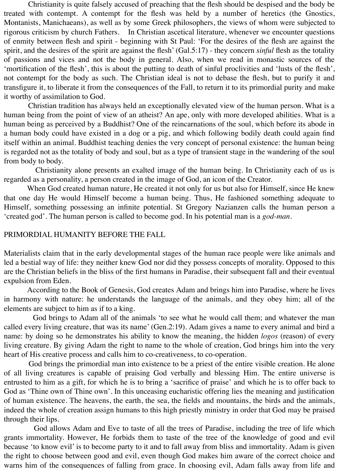Christianity is quite falsely accused of preaching that the flesh should be despised and the body be treated with contempt. A contempt for the flesh was held by a number of heretics (the Gnostics, Montanists, Manichaeans), as well as by some Greek philosophers, the views of whom were subjected to rigorous criticism by church Fathers. In Christian ascetical literature, whenever we encounter questions of enmity between flesh and spirit - beginning with St Paul: 'For the desires of the flesh are against the spirit, and the desires of the spirit are against the flesh' (Gal.5:17) - they concern *sinful* flesh as the totality of passions and vices and not the body in general. Also, when we read in monastic sources of the 'mortification of the flesh', this is about the putting to death of sinful proclivities and 'lusts of the flesh', not contempt for the body as such. The Christian ideal is not to debase the flesh, but to purify it and transfigure it, to liberate it from the consequences of the Fall, to return it to its primordial purity and make it worthy of assimilation to God.

 Christian tradition has always held an exceptionally elevated view of the human person. What is a human being from the point of view of an atheist? An ape, only with more developed abilities. What is a human being as perceived by a Buddhist? One of the reincarnations of the soul, which before its abode in a human body could have existed in a dog or a pig, and which following bodily death could again find itself within an animal. Buddhist teaching denies the very concept of personal existence: the human being is regarded not as the totality of body and soul, but as a type of transient stage in the wandering of the soul from body to body.

 Christianity alone presents an exalted image of the human being. In Christianity each of us is regarded as a personality, a person created in the image of God, an icon of the Creator.

 When God created human nature, He created it not only for us but also for Himself, since He knew that one day He would Himself become a human being. Thus, He fashioned something adequate to Himself, something possessing an infinite potential. St Gregory Nazianzen calls the human person a 'created god'. The human person is called to become god. In his potential man is a *god-man*.

## PRIMORDIAL HUMANITY BEFORE THE FALL

Materialists claim that in the early developmental stages of the human race people were like animals and led a bestial way of life: they neither knew God nor did they possess concepts of morality. Opposed to this are the Christian beliefs in the bliss of the first humans in Paradise, their subsequent fall and their eventual expulsion from Eden.

 According to the Book of Genesis, God creates Adam and brings him into Paradise, where he lives in harmony with nature: he understands the language of the animals, and they obey him; all of the elements are subject to him as if to a king.

 God brings to Adam all of the animals 'to see what he would call them; and whatever the man called every living creature, that was its name' (Gen.2:19). Adam gives a name to every animal and bird a name: by doing so he demonstrates his ability to know the meaning, the hidden *logos* (reason) of every living creature. By giving Adam the right to name to the whole of creation, God brings him into the very heart of His creative process and calls him to co-creativeness, to co-operation.

 God brings the primordial man into existence to be a priest of the entire visible creation. He alone of all living creatures is capable of praising God verbally and blessing Him. The entire universe is entrusted to him as a gift, for which he is to bring a 'sacrifice of praise' and which he is to offer back to God as 'Thine own of Thine own'. In this unceasing eucharistic offering lies the meaning and justification of human existence. The heavens, the earth, the sea, the fields and mountains, the birds and the animals, indeed the whole of creation assign humans to this high priestly ministry in order that God may be praised through their lips.

 God allows Adam and Eve to taste of all the trees of Paradise, including the tree of life which grants immortality. However, He forbids them to taste of the tree of the knowledge of good and evil because 'to know evil' is to become party to it and to fall away from bliss and immortality. Adam is given the right to choose between good and evil, even though God makes him aware of the correct choice and warns him of the consequences of falling from grace. In choosing evil, Adam falls away from life and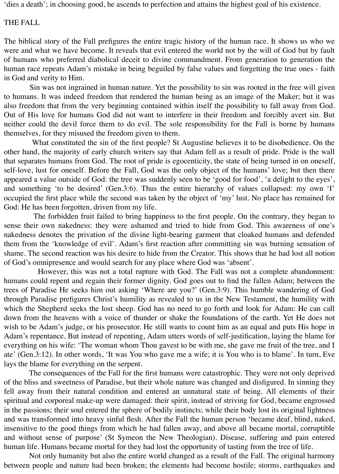'dies a death'; in choosing good, he ascends to perfection and attains the highest goal of his existence.

## THE FALL

The biblical story of the Fall prefigures the entire tragic history of the human race. It shows us who we were and what we have become. It reveals that evil entered the world not by the will of God but by fault of humans who preferred diabolical deceit to divine commandment. From generation to generation the human race repeats Adam's mistake in being beguiled by false values and forgetting the true ones - faith in God and verity to Him.

 Sin was not ingrained in human nature. Yet the possibility to sin was rooted in the free will given to humans. It was indeed freedom that rendered the human being as an image of the Maker; but it was also freedom that from the very beginning contained within itself the possibility to fall away from God. Out of His love for humans God did not want to interfere in their freedom and forcibly avert sin. But neither could the devil force them to do evil. The sole responsibility for the Fall is borne by humans themselves, for they misused the freedom given to them.

 What constituted the sin of the first people? St Augustine believes it to be disobedience. On the other hand, the majority of early church writers say that Adam fell as a result of pride. Pride is the wall that separates humans from God. The root of pride is egocenticity, the state of being turned in on oneself, self-love, lust for oneself. Before the Fall, God was the only object of the humans' love; but then there appeared a value outside of God: the tree was suddenly seen to be 'good for food', 'a delight to the eyes', and something 'to be desired' (Gen.3:6). Thus the entire hierarchy of values collapsed: my own 'I' occupied the first place while the second was taken by the object of 'my' lust. No place has remained for God: He has been forgotten, driven from my life.

 The forbidden fruit failed to bring happiness to the first people. On the contrary, they began to sense their own nakedness: they were ashamed and tried to hide from God. This awareness of one's nakedness denotes the privation of the divine light-bearing garment that cloaked humans and defended them from the 'knowledge of evil'. Adam's first reaction after committing sin was burning sensation of shame. The second reaction was his desire to hide from the Creator. This shows that he had lost all notion of God's omnipresence and would search for any place where God was 'absent'.

 However, this was not a total rupture with God. The Fall was not a complete abandonment: humans could repent and regain their former dignity. God goes out to find the fallen Adam; between the trees of Paradise He seeks him out asking 'Where are you?' (Gen.3:9). This humble wandering of God through Paradise prefigures Christ's humility as revealed to us in the New Testament, the humility with which the Shepherd seeks the lost sheep. God has no need to go forth and look for Adam: He can call down from the heavens with a voice of thunder or shake the foundations of the earth. Yet He does not wish to be Adam's judge, or his prosecutor. He still wants to count him as an equal and puts His hope in Adam's repentance. But instead of repenting, Adam utters words of self-justification, laying the blame for everything on his wife: 'The woman whom Thou gavest to be with me, she gave me fruit of the tree, and I ate' (Gen.3:12). In other words, 'It was You who gave me a wife; it is You who is to blame'. In turn, Eve lays the blame for everything on the serpent.

 The consequences of the Fall for the first humans were catastrophic. They were not only deprived of the bliss and sweetness of Paradise, but their whole nature was changed and disfigured. In sinning they fell away from their natural condition and entered an unnatural state of being. All elements of their spiritual and corporeal make-up were damaged: their spirit, instead of striving for God, became engrossed in the passions; their soul entered the sphere of bodily instincts; while their body lost its original lightness and was transformed into heavy sinful flesh. After the Fall the human person 'became deaf, blind, naked, insensitive to the good things from which he had fallen away, and above all became mortal, corruptible and without sense of purpose' (St Symeon the New Theologian). Disease, suffering and pain entered human life. Humans became mortal for they had lost the opportunity of tasting from the tree of life.

 Not only humanity but also the entire world changed as a result of the Fall. The original harmony between people and nature had been broken; the elements had become hostile; storms, earthquakes and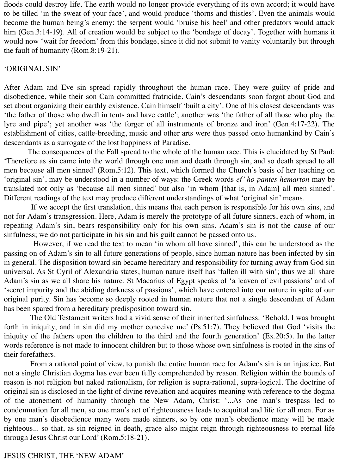floods could destroy life. The earth would no longer provide everything of its own accord; it would have to be tilled 'in the sweat of your face', and would produce 'thorns and thistles'. Even the animals would become the human being's enemy: the serpent would 'bruise his heel' and other predators would attack him (Gen.3:14-19). All of creation would be subject to the 'bondage of decay'. Together with humans it would now 'wait for freedom' from this bondage, since it did not submit to vanity voluntarily but through the fault of humanity (Rom.8:19-21).

### 'ORIGINAL SIN'

After Adam and Eve sin spread rapidly throughout the human race. They were guilty of pride and disobedience, while their son Cain committed fratricide. Cain's descendants soon forgot about God and set about organizing their earthly existence. Cain himself 'built a city'. One of his closest descendants was 'the father of those who dwell in tents and have cattle'; another was 'the father of all those who play the lyre and pipe'; yet another was 'the forger of all instruments of bronze and iron' (Gen.4:17-22). The establishment of cities, cattle-breeding, music and other arts were thus passed onto humankind by Cain's descendants as a surrogate of the lost happiness of Paradise.

 The consequences of the Fall spread to the whole of the human race. This is elucidated by St Paul: 'Therefore as sin came into the world through one man and death through sin, and so death spread to all men because all men sinned' (Rom.5:12). This text, which formed the Church's basis of her teaching on 'original sin', may be understood in a number of ways: the Greek words *ef' ho pantes hemarton* may be translated not only as 'because all men sinned' but also 'in whom [that is, in Adam] all men sinned'. Different readings of the text may produce different understandings of what 'original sin' means.

 If we accept the first translation, this means that each person is responsible for his own sins, and not for Adam's transgression. Here, Adam is merely the prototype of all future sinners, each of whom, in repeating Adam's sin, bears responsibility only for his own sins. Adam's sin is not the cause of our sinfulness; we do not participate in his sin and his guilt cannot be passed onto us.

 However, if we read the text to mean 'in whom all have sinned', this can be understood as the passing on of Adam's sin to all future generations of people, since human nature has been infected by sin in general. The disposition toward sin became hereditary and responsibility for turning away from God sin universal. As St Cyril of Alexandria states, human nature itself has 'fallen ill with sin'; thus we all share Adam's sin as we all share his nature. St Macarius of Egypt speaks of 'a leaven of evil passions' and of 'secret impurity and the abiding darkness of passions', which have entered into our nature in spite of our original purity. Sin has become so deeply rooted in human nature that not a single descendant of Adam has been spared from a hereditary predisposition toward sin.

 The Old Testament writers had a vivid sense of their inherited sinfulness: 'Behold, I was brought forth in iniquity, and in sin did my mother conceive me' (Ps.51:7). They believed that God 'visits the iniquity of the fathers upon the children to the third and the fourth generation' (Ex.20:5). In the latter words reference is not made to innocent children but to those whose own sinfulness is rooted in the sins of their forefathers.

 From a rational point of view, to punish the entire human race for Adam's sin is an injustice. But not a single Christian dogma has ever been fully comprehended by reason. Religion within the bounds of reason is not religion but naked rationalism, for religion is supra-rational, supra-logical. The doctrine of original sin is disclosed in the light of divine revelation and acquires meaning with reference to the dogma of the atonement of humanity through the New Adam, Christ: '...As one man's trespass led to condemnation for all men, so one man's act of righteousness leads to acquittal and life for all men. For as by one man's disobedience many were made sinners, so by one man's obedience many will be made righteous... so that, as sin reigned in death, grace also might reign through righteousness to eternal life through Jesus Christ our Lord' (Rom.5:18-21).

### JESUS CHRIST, THE 'NEW ADAM'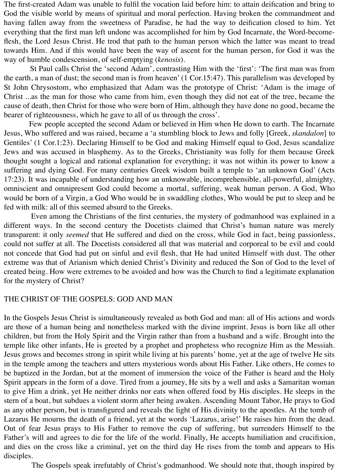The first-created Adam was unable to fulfil the vocation laid before him: to attain deification and bring to God the visible world by means of spiritual and moral perfection. Having broken the commandment and having fallen away from the sweetness of Paradise, he had the way to deification closed to him. Yet everything that the first man left undone was accomplished for him by God Incarnate, the Word-becomeflesh, the Lord Jesus Christ. He trod that path to the human person which the latter was meant to tread towards Him. And if this would have been the way of ascent for the human person, for God it was the way of humble condescension, of self-emptying (*kenosis*).

 St Paul calls Christ the 'second Adam', contrasting Him with the 'first': 'The first man was from the earth, a man of dust; the second man is from heaven' (1 Cor.15:47). This parallelism was developed by St John Chrysostom, who emphasized that Adam was the prototype of Christ: 'Adam is the image of Christ ...as the man for those who came from him, even though they did not eat of the tree, became the cause of death, then Christ for those who were born of Him, although they have done no good, became the bearer of righteousness, which he gave to all of us through the cross'.

 Few people accepted the second Adam or believed in Him when He down to earth. The Incarnate Jesus, Who suffered and was raised, became a 'a stumbling block to Jews and folly [Greek, *skandalon*] to Gentiles' (1 Cor.1:23). Declaring Himself to be God and making Himself equal to God, Jesus scandalize Jews and was accused in blasphemy. As to the Greeks, Christianity was folly for them because Greek thought sought a logical and rational explanation for everything; it was not within its power to know a suffering and dying God. For many centuries Greek wisdom built a temple to 'an unknown God' (Acts 17:23). It was incapable of understanding how an unknowable, incomprehensible, all-powerful, almighty, omniscient and omnipresent God could become a mortal, suffering, weak human person. A God, Who would be born of a Virgin, a God Who would be in swaddling clothes, Who would be put to sleep and be fed with milk: all of this seemed absurd to the Greeks.

 Even among the Christians of the first centuries, the mystery of godmanhood was explained in a different ways. In the second century the Docetists claimed that Christ's human nature was merely transparent: it only *seemed* that He suffered and died on the cross, while God in fact, being passionless, could not suffer at all. The Docetists considered all that was material and corporeal to be evil and could not concede that God had put on sinful and evil flesh, that He had united Himself with dust. The other extreme was that of Arianism which denied Christ's Divinity and reduced the Son of God to the level of created being. How were extremes to be avoided and how was the Church to find a legitimate explanation for the mystery of Christ?

#### THE CHRIST OF THE GOSPELS: GOD AND MAN

In the Gospels Jesus Christ is simultaneously revealed as both God and man: all of His actions and words are those of a human being and nonetheless marked with the divine imprint. Jesus is born like all other children, but from the Holy Spirit and the Virgin rather than from a husband and a wife. Brought into the temple like other infants, He is greeted by a prophet and prophetess who recognize Him as the Messiah. Jesus grows and becomes strong in spirit while living at his parents' home, yet at the age of twelve He sits in the temple among the teachers and utters mysterious words about His Father. Like others, He comes to be baptized in the Jordan, but at the moment of immersion the voice of the Father is heard and the Holy Spirit appears in the form of a dove. Tired from a journey, He sits by a well and asks a Samaritan woman to give Him a drink, yet He neither drinks nor eats when offered food by His disciples. He sleeps in the stern of a boat, but subdues a violent storm after being awaken. Ascending Mount Tabor, He prays to God as any other person, but is transfigured and reveals the light of His divinity to the apostles. At the tomb of Lazarus He mourns the death of a friend, yet at the words 'Lazarus, arise!' He raises him from the dead. Out of fear Jesus prays to His Father to remove the cup of suffering, but surrenders Himself to the Father's will and agrees to die for the life of the world. Finally, He accepts humiliation and crucifixion, and dies on the cross like a criminal, yet on the third day He rises from the tomb and appears to His disciples.

The Gospels speak irrefutably of Christ's godmanhood. We should note that, though inspired by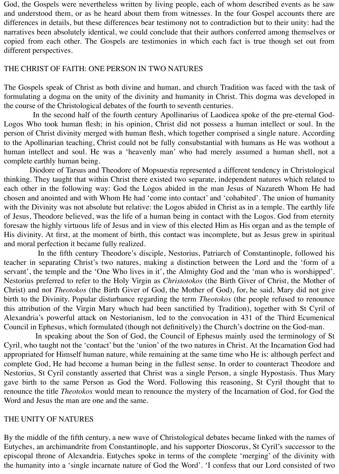God, the Gospels were nevertheless written by living people, each of whom described events as he saw and understood them, or as he heard about them from witnesses. In the four Gospel accounts there are differences in details, but these differences bear testimony not to contradiction but to their unity: had the narratives been absolutely identical, we could conclude that their authors conferred among themselves or copied from each other. The Gospels are testimonies in which each fact is true though set out from different perspectives.

### THE CHRIST OF FAITH: ONE PERSON IN TWO NATURES

The Gospels speak of Christ as both divine and human, and church Tradition was faced with the task of formulating a dogma on the unity of the divinity and humanity in Christ. This dogma was developed in the course of the Christological debates of the fourth to seventh centuries.

 In the second half of the fourth century Apollinarius of Laodicea spoke of the pre-eternal God-Logos Who took human flesh; in his opinion, Christ did not possess a human intellect or soul. In the person of Christ divinity merged with human flesh, which together comprised a single nature. According to the Apollinarian teaching, Christ could not be fully consubstantial with humans as He was wothout a human intellect and soul. He was a 'heavenly man' who had merely assumed a human shell, not a complete earthly human being.

 Diodore of Tarsus and Theodore of Mopsuestia represented a different tendency in Christological thinking. They taught that within Christ there existed two separate, independent natures which related to each other in the following way: God the Logos abided in the man Jesus of Nazareth Whom He had chosen and anointed and with Whom He had 'come into contact' and 'cohabited'. The union of humanity with the Divinity was not absolute but relative: the Logos abided in Christ as in a temple. The earthly life of Jesus, Theodore believed, was the life of a human being in contact with the Logos. God from eternity foresaw the highly virtuous life of Jesus and in view of this elected Him as His organ and as the temple of His divinity. At first, at the moment of birth, this contact was incomplete, but as Jesus grew in spiritual and moral perfection it became fully realized.

 In the fifth century Theodore's disciple, Nestorius, Patriarch of Constantinople, followed his teacher in separating Christ's two natures, making a distinction between the Lord and the 'form of a servant', the temple and the 'One Who lives in it', the Almighty God and the 'man who is worshipped'. Nestorius preferred to refer to the Holy Virgin as *Christotokos* (the Birth Giver of Christ, the Mother of Christ) and not *Theotokos* (the Birth Giver of God, the Mother of God), for, he said, Mary did not give birth to the Divinity. Popular disturbance regarding the term *Theotokos* (the people refused to renounce this attribution of the Virgin Mary whuch had been sanctified by Tradition), together with St Cyril of Alexandria's powerful attack on Nestorianism, led to the convocation in 431 of the Third Ecumenical Council in Ephesus, which formulated (though not definitively) the Church's doctrine on the God-man.

 In speaking about the Son of God, the Council of Ephesus mainly used the terminology of St Cyril, who taught not the 'contact' but the 'union' of the two natures in Christ. At the Incarnation God had appropriated for Himself human nature, while remaining at the same time who He is: although perfect and complete God, He had become a human being in the fullest sense. In order to counteract Theodore and Nestorius, St Cyril constantly asserted that Christ was a single Person, a single Hypostasis. Thus Mary gave birth to the same Person as God the Word. Following this reasoning, St Cyril thought that to renounce the title *Theotokos* would mean to renounce the mystery of the Incarnation of God, for God the Word and Jesus the man are one and the same.

## THE UNITY OF NATURES

By the middle of the fifth century, a new wave of Christological debates became linked with the names of Eutyches, an archimandrite from Constantinople, and his supporter Dioscorus, St Cyril's successor to the episcopal throne of Alexandria. Eutyches spoke in terms of the complete 'merging' of the divinity with the humanity into a 'single incarnate nature of God the Word'. 'I confess that our Lord consisted of two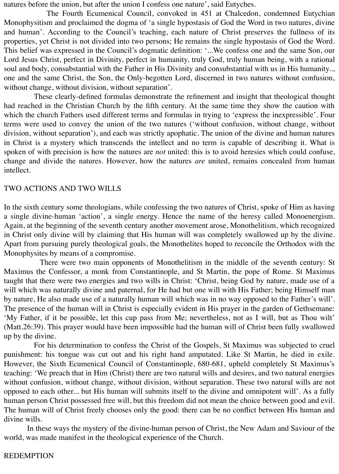natures before the union, but after the union I confess one nature', said Eutyches.

 The Fourth Ecumenical Council, convoked in 451 at Chalcedon, condemned Eutychian Monophysitism and proclaimed the dogma of 'a single hypostasis of God the Word in two natures, divine and human'. According to the Council's teaching, each nature of Christ preserves the fullness of its properties, yet Christ is not divided into two persons; He remains the single hypostasis of God the Word. This belief was expressed in the Council's dogmatic definition: '...We confess one and the same Son, our Lord Jesus Christ, perfect in Divinity, perfect in humanity, truly God, truly human being, with a rational soul and body, consubstantial with the Father in His Divinity and consubstantial with us in His humanity.., one and the same Christ, the Son, the Only-begotten Lord, discerned in two natures without confusion, without change, without division, without separation'.

 These clearly-defined formulas demonstrate the refinement and insight that theological thought had reached in the Christian Church by the fifth century. At the same time they show the caution with which the church Fathers used different terms and formulas in trying to 'express the inexpressible'. Four terms were used to convey the union of the two natures ('without confusion, without change, without division, without separation'), and each was strictly apophatic. The union of the divine and human natures in Christ is a mystery which transcends the intellect and no term is capable of describing it. What is spoken of with precision is how the natures are *not* united: this is to avoid heresies which could confuse, change and divide the natures. However, how the natures *are* united, remains concealed from human intellect.

## TWO ACTIONS AND TWO WILLS

In the sixth century some theologians, while confessing the two natures of Christ, spoke of Him as having a single divine-human 'action', a single energy. Hence the name of the heresy called Monoenergism. Again, at the beginning of the seventh century another movement arose, Monothelitism, which recognized in Christ only divine will by claiming that His human will was completely swallowed up by the divine. Apart from pursuing purely theological goals, the Monothelites hoped to reconcile the Orthodox with the Monophysites by means of a compromise.

 There were two main opponents of Monothelitism in the middle of the seventh century: St Maximus the Confessor, a monk from Constantinople, and St Martin, the pope of Rome. St Maximus taught that there were two energies and two wills in Christ: 'Christ, being God by nature, made use of a will which was naturally divine and paternal, for He had but one will with His Father; being Himself man by nature, He also made use of a naturally human will which was in no way opposed to the Father's will'. The presence of the human will in Christ is especially evident in His prayer in the garden of Gethsemane: 'My Father, if it be possible, let this cup pass from Me; nevertheless, not as I will, but as Thou wilt' (Matt.26:39). This prayer would have been impossible had the human will of Christ been fully swallowed up by the divine.

 For his determination to confess the Christ of the Gospels, St Maximus was subjected to cruel punishment: his tongue was cut out and his right hand amputated. Like St Martin, he died in exile. However, the Sixth Ecumenical Council of Constantinople, 680-681, upheld completely St Maximus's teaching: 'We preach that in Him (Christ) there are two natural wills and desires, and two natural energies without confusion, without change, without division, without separation. These two natural wills are not opposed to each other... but His human will submits itself to the divine and omnipotent will'. As a fully human person Christ possessed free will, but this freedom did not mean the choice between good and evil. The human will of Christ freely chooses only the good: there can be no conflict between His human and divine wills.

 In these ways the mystery of the divine-human person of Christ, the New Adam and Saviour of the world, was made manifest in the theological experience of the Church.

#### REDEMPTION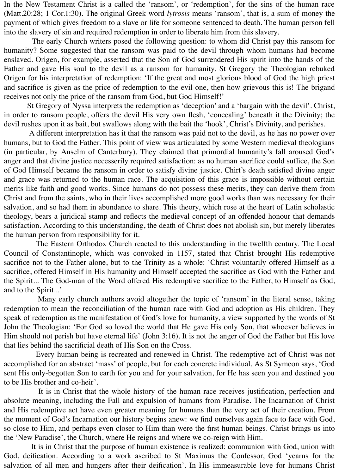In the New Testament Christ is a called the 'ransom', or 'redemption', for the sins of the human race (Matt.20:28; 1 Cor.1:30). The original Greek word *lytrosis* means 'ransom', that is, a sum of money the payment of which gives freedom to a slave or life for someone sentenced to death. The human person fell into the slavery of sin and required redemption in order to liberate him from this slavery.

 The early Church writers posed the following question: to whom did Christ pay this ransom for humanity? Some suggested that the ransom was paid to the devil through whom humans had become enslaved. Origen, for example, asserted that the Son of God surrendered His spirit into the hands of the Father and gave His soul to the devil as a ransom for humanity. St Gregory the Theologian rebuked Origen for his interpretation of redemption: 'If the great and most glorious blood of God the high priest and sacrifice is given as the price of redemption to the evil one, then how grievous this is! The brigand receives not only the price of the ransom from God, but God Himself!'

 St Gregory of Nyssa interprets the redemption as 'deception' and a 'bargain with the devil'. Christ, in order to ransom people, offers the devil His very own flesh, 'concealing' beneath it the Divinity; the devil rushes upon it as bait, but swallows along with the bait the 'hook', Christ's Divinity, and perishes.

 A different interpretation has it that the ransom was paid not to the devil, as he has no power over humans, but to God the Father. This point of view was articulated by some Western medieval theologians (in particular, by Anselm of Canterbury). They claimed that primordial humanity's fall aroused God's anger and that divine justice necesserily required satisfaction: as no human sacrifice could suffice, the Son of God Himself became the ransom in order to satisfy divine justice. Chirt's death satisfied divine anger and grace was returned to the human race. The acquisition of this grace is impossible without certain merits like faith and good works. Since humans do not possess these merits, they can derive them from Christ and from the saints, who in their lives accomplished more good works than was necessary for their salvation, and so had them in abundance to share. This theory, which rose at the heart of Latin scholastic theology, bears a juridical stamp and reflects the medieval concept of an offended honour that demands satisfaction. According to this understanding, the death of Christ does not abolish sin, but merely liberates the human person from responsibility for it.

 The Eastern Orthodox Church reacted to this understanding in the twelfth century. The Local Council of Constantinople, which was convoked in 1157, stated that Christ brought His redemptive sacrifice not to the Father alone, but to the Trinity as a whole: 'Christ voluntarily offered Himself as a sacrifice, offered Himself in His humanity and Himself accepted the sacrifice as God with the Father and the Spirit... The God-man of the Word offered His redemptive sacrifice to the Father, to Himself as God, and to the Spirit...'

 Many early church authors avoid altogether the topic of 'ransom' in the literal sense, taking redemption to mean the reconciliation of the human race with God and adoption as His children. They speak of redemption as the manifestation of God's love for humanity, a view supported by the words of St John the Theologian: 'For God so loved the world that He gave His only Son, that whoever believes in Him should not perish but have eternal life' (John 3:16). It is not the anger of God the Father but His love that lies behind the sacrificial death of His Son on the Cross.

 Every human being is recreated and renewed in Christ. The redemptive act of Christ was not accomplished for an abstract 'mass' of people, but for each concrete individual. As St Symeon says, 'God sent His only-begotten Son to earth for you and for your salvation, for He has seen you and destined you to be His brother and co-heir'.

 It is in Christ that the whole history of the human race receives justification, perfection and absolute meaning, including the Fall and expulsion of humans from Paradise. The Incarnation of Christ and His redemptive act have even greater meaning for humans than the very act of their creation. From the moment of God's Incarnation our history begins anew: we find ourselves again face to face with God, so close to Him, and perhaps even closer to Him than were the first human beings. Christ brings us into the 'New Paradise', the Church, where He reigns and where we co-reign with Him.

 It is in Christ that the purpose of human existence is realized: communion with God, union with God, deification. According to a work ascribed to St Maximus the Confessor, God 'yearns for the salvation of all men and hungers after their deification'. In His immeasurable love for humans Christ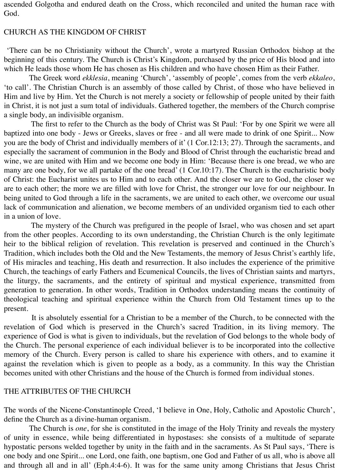ascended Golgotha and endured death on the Cross, which reconciled and united the human race with God.

### CHURCH AS THE KINGDOM OF CHRIST

'There can be no Christianity without the Church', wrote a martyred Russian Orthodox bishop at the beginning of this century. The Church is Christ's Kingdom, purchased by the price of His blood and into which He leads those whom He has chosen as His children and who have chosen Him as their Father.

 The Greek word *ekklesia*, meaning 'Church', 'assembly of people', comes from the verb *ekkaleo*, 'to call'. The Christian Church is an assembly of those called by Christ, of those who have believed in Him and live by Him. Yet the Church is not merely a society or fellowship of people united by their faith in Christ, it is not just a sum total of individuals. Gathered together, the members of the Church comprise a single body, an indivisible organism.

 The first to refer to the Church as the body of Christ was St Paul: 'For by one Spirit we were all baptized into one body - Jews or Greeks, slaves or free - and all were made to drink of one Spirit... Now you are the body of Christ and individually members of it' (1 Cor.12:13; 27). Through the sacraments, and especially the sacrament of communion in the Body and Blood of Christ through the eucharistic bread and wine, we are united with Him and we become one body in Him: 'Because there is one bread, we who are many are one body, for we all partake of the one bread' (1 Cor.10:17). The Church is the eucharistic body of Christ: the Eucharist unites us to Him and to each other. And the closer we are to God, the closer we are to each other; the more we are filled with love for Christ, the stronger our love for our neighbour. In being united to God through a life in the sacraments, we are united to each other, we overcome our usual lack of communication and alienation, we become members of an undivided organism tied to each other in a union of love.

 The mystery of the Church was prefigured in the people of Israel, who was chosen and set apart from the other peoples. According to its own understanding, the Christian Church is the only legitimate heir to the biblical religion of revelation. This revelation is preserved and continued in the Church's Tradition, which includes both the Old and the New Testaments, the memory of Jesus Christ's earthly life, of His miracles and teaching, His death and resurrection. It also includes the experience of the primitive Church, the teachings of early Fathers and Ecumenical Councils, the lives of Christian saints and martyrs, the liturgy, the sacraments, and the entirety of spiritual and mystical experience, transmitted from generation to generation. In other words, Tradition in Orthodox understanding means the continuity of theological teaching and spiritual experience within the Church from Old Testament times up to the present.

 It is absolutely essential for a Christian to be a member of the Church, to be connected with the revelation of God which is preserved in the Church's sacred Tradition, in its living memory. The experience of God is what is given to individuals, but the revelation of God belongs to the whole body of the Church. The personal experience of each individual believer is to be incorporated into the collective memory of the Church. Every person is called to share his experience with others, and to examine it against the revelation which is given to people as a body, as a community. In this way the Christian becomes united with other Christians and the house of the Church is formed from individual stones.

# THE ATTRIBUTES OF THE CHURCH

The words of the Nicene-Constantinople Creed, 'I believe in One, Holy, Catholic and Apostolic Church', define the Church as a divine-human organism.

 The Church is *one*, for she is constituted in the image of the Holy Trinity and reveals the mystery of unity in essence, while being differentiated in hypostases: she consists of a multitude of separate hypostatic persons welded together by unity in the faith and in the sacraments. As St Paul says, 'There is one body and one Spirit... one Lord, one faith, one baptism, one God and Father of us all, who is above all and through all and in all' (Eph.4:4-6). It was for the same unity among Christians that Jesus Christ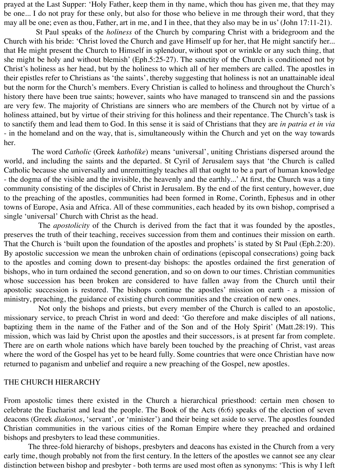prayed at the Last Supper: 'Holy Father, keep them in thy name, which thou has given me, that they may be one... I do not pray for these only, but also for those who believe in me through their word, that they may all be one; even as thou, Father, art in me, and I in thee, that they also may be in us' (John 17:11-21).

 St Paul speaks of the *holiness* of the Church by comparing Christ with a bridegroom and the Church with his bride: 'Christ loved the Church and gave Himself up for her, that He might sanctify her... that He might present the Church to Himself in splendour, without spot or wrinkle or any such thing, that she might be holy and without blemish' (Eph.5:25-27). The sanctity of the Church is conditioned not by Christ's holiness as her head, but by the holiness to which all of her members are called. The apostles in their epistles refer to Christians as 'the saints', thereby suggesting that holiness is not an unattainable ideal but the norm for the Church's members. Every Christian is called to holiness and throughout the Church's history there have been true saints; however, saints who have managed to transcend sin and the passions are very few. The majority of Christians are sinners who are members of the Church not by virtue of a holiness attained, but by virtue of their striving for this holiness and their repentance. The Church's task is to sanctify them and lead them to God. In this sense it is said of Christians that they are *in patria et in via* - in the homeland and on the way, that is, simultaneously within the Church and yet on the way towards her.

 The word *Catholic* (Greek *katholike*) means 'universal', uniting Christians dispersed around the world, and including the saints and the departed. St Cyril of Jerusalem says that 'the Church is called Catholic because she universally and unremittingly teaches all that ought to be a part of human knowledge - the dogma of the visible and the invisible, the heavenly and the earthly...' At first, the Church was a tiny community consisting of the disciples of Christ in Jerusalem. By the end of the first century, however, due to the preaching of the apostles, communities had been formed in Rome, Corinth, Ephesus and in other towns of Europe, Asia and Africa. All of these communities, each headed by its own bishop, comprised a single 'universal' Church with Christ as the head.

 The *apostolicity* of the Church is derived from the fact that it was founded by the apostles, preserves the truth of their teaching, receives succession from them and continues their mission on earth. That the Church is 'built upon the foundation of the apostles and prophets' is stated by St Paul (Eph.2:20). By apostolic succession we mean the unbroken chain of ordinations (episcopal consecrations) going back to the apostles and coming down to present-day bishops: the apostles ordained the first generation of bishops, who in turn ordained the second generation, and so on down to our times. Christian communities whose succession has been broken are considered to have fallen away from the Church until their apostolic succession is restored. The bishops continue the apostles' mission on earth - a mission of ministry, preaching, the guidance of existing church communities and the creation of new ones.

 Not only the bishops and priests, but every member of the Church is called to an apostolic, missionary service, to preach Christ in word and deed: 'Go therefore and make disciples of all nations, baptizing them in the name of the Father and of the Son and of the Holy Spirit' (Matt.28:19). This mission, which was laid by Christ upon the apostles and their successors, is at present far from complete. There are on earth whole nations which have barely been touched by the preaching of Christ, vast areas where the word of the Gospel has yet to be heard fully. Some countries that were once Christian have now returned to paganism and unbelief and require a new preaching of the Gospel, new apostles.

#### THE CHURCH HIERARCHY

From apostolic times there existed in the Church a hierarchical priesthood: certain men chosen to celebrate the Eucharist and lead the people. The Book of the Acts (6:6) speaks of the election of seven deacons (Greek *diakonos*, 'servant', or 'minister') and their being set aside to serve. The apostles founded Christian communities in the various cities of the Roman Empire where they preached and ordained bishops and presbyters to lead these communities.

 The three-fold hierarchy of bishops, presbyters and deacons has existed in the Church from a very early time, though probably not from the first century. In the letters of the apostles we cannot see any clear distinction between bishop and presbyter - both terms are used most often as synonyms: 'This is why I left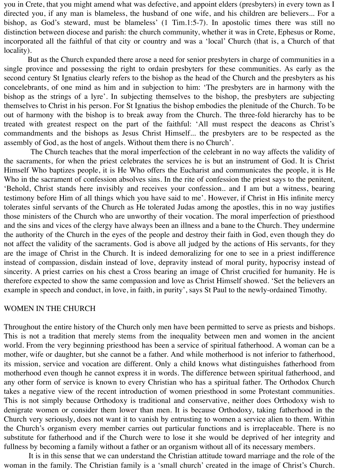you in Crete, that you might amend what was defective, and appoint elders (presbyters) in every town as I directed you, if any man is blameless, the husband of one wife, and his children are believers... For a bishop, as God's steward, must be blameless' (1 Tim.1:5-7). In apostolic times there was still no distinction between diocese and parish: the church community, whether it was in Crete, Ephesus or Rome, incorporated all the faithful of that city or country and was a 'local' Church (that is, a Church of that locality).

 But as the Church expanded there arose a need for senior presbyters in charge of communities in a single province and possessing the right to ordain presbyters for these communities. As early as the second century St Ignatius clearly refers to the bishop as the head of the Church and the presbyters as his concelebrants, of one mind as him and in subjection to him: 'The presbyters are in harmony with the bishop as the strings of a lyre'. In subjecting themselves to the bishop, the presbyters are subjecting themselves to Christ in his person. For St Ignatius the bishop embodies the plenitude of the Church. To be out of harmony with the bishop is to break away from the Church. The three-fold hierarchy has to be treated with greatest respect on the part of the faithful: 'All must respect the deacons as Christ's commandments and the bishops as Jesus Christ Himself... the presbyters are to be respected as the assembly of God, as the host of angels. Without them there is no Church'.

 The Church teaches that the moral imperfection of the celebrant in no way affects the validity of the sacraments, for when the priest celebrates the services he is but an instrument of God. It is Christ Himself Who baptizes people, it is He Who offers the Eucharist and communicates the people, it is He Who in the sacrament of confession absolves sins. In the rite of confession the priest says to the penitent, 'Behold, Christ stands here invisibly and receives your confession.. and I am but a witness, bearing testimony before Him of all things which you have said to me'. However, if Christ in His infinite mercy tolerates sinful servants of the Church as He tolerated Judas among the apostles, this in no way justifies those ministers of the Church who are unworthy of their vocation. The moral imperfection of priesthood and the sins and vices of the clergy have always been an illness and a bane to the Church. They undermine the authority of the Church in the eyes of the people and destroy their faith in God, even though they do not affect the validity of the sacraments. God is above all judged by the actions of His servants, for they are the image of Christ in the Church. It is indeed demoralizing for one to see in a priest indifference instead of compassion, disdain instead of love, depravity instead of moral purity, hypocrisy instead of sincerity. A priest carries on his chest a Cross bearing an image of Christ crucified for humanity. He is therefore expected to show the same compassion and love as Christ Himself showed. 'Set the believers an example in speech and conduct, in love, in faith, in purity', says St Paul to the newly-ordained Timothy.

#### WOMEN IN THE CHURCH

Throughout the entire history of the Church only men have been permitted to serve as priests and bishops. This is not a tradition that merely stems from the inequality between men and women in the ancient world. From the very beginning priesthood has been a service of spiritual fatherhood. A woman can be a mother, wife or daughter, but she cannot be a father. And while motherhood is not inferior to fatherhood, its mission, service and vocation are different. Only a child knows what distinguishes fatherhood from motherhood even though he cannot express it in words. The difference between spiritual fatherhood, and any other form of service is known to every Christian who has a spiritual father. The Orthodox Church takes a negative view of the recent introduction of women priesthood in some Protestant communities. This is not simply because Orthodoxy is traditional and conservative, neither does Orthodoxy wish to denigrate women or consider them lower than men. It is because Orthodoxy, taking fatherhood in the Church very seriously, does not want it to vanish by entrusting to women a service alien to them. Within the Church's organism every member carries out particular functions and is irreplaceable. There is no substitute for fatherhood and if the Church were to lose it she would be deprived of her integrity and fullness by becoming a family without a father or an organism without all of its necessary members.

 It is in this sense that we can understand the Christian attitude toward marriage and the role of the woman in the family. The Christian family is a 'small church' created in the image of Christ's Church.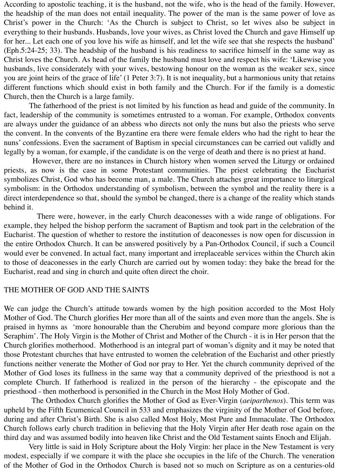According to apostolic teaching, it is the husband, not the wife, who is the head of the family. However, the headship of the man does not entail inequality. The power of the man is the same power of love as Christ's power in the Church: 'As the Church is subject to Christ, so let wives also be subject in everything to their husbands. Husbands, love your wives, as Christ loved the Church and gave Himself up for her... Let each one of you love his wife as himself, and let the wife see that she respects the husband' (Eph.5:24-25; 33). The headship of the husband is his readiness to sacrifice himself in the same way as Christ loves the Church. As head of the family the husband must love and respect his wife: 'Likewise you husbands, live considerately with your wives, bestowing honour on the woman as the weaker sex, since you are joint heirs of the grace of life' (1 Peter 3:7). It is not inequality, but a harmonious unity that retains different functions which should exist in both family and the Church. For if the family is a domestic Church, then the Church is a large family.

 The fatherhood of the priest is not limited by his function as head and guide of the community. In fact, leadership of the community is sometimes entrusted to a woman. For example, Orthodox convents are always under the guidance of an abbess who directs not only the nuns but also the priests who serve the convent. In the convents of the Byzantine era there were female elders who had the right to hear the nuns' confessions. Even the sacrament of Baptism in special circumstances can be carried out validly and legally by a woman, for example, if the candidate is on the verge of death and there is no priest at hand.

 However, there are no instances in Church history when women served the Liturgy or ordained priests, as now is the case in some Protestant communities. The priest celebrating the Eucharist symbolizes Christ, God who has become man, a male. The Church attaches great importance to liturgical symbolism: in the Orthodox understanding of symbolism, between the symbol and the reality there is a direct interdependence so that, should the symbol be changed, there is a change of the reality which stands behind it.

 There were, however, in the early Church deaconesses with a wide range of obligations. For example, they helped the bishop perform the sacrament of Baptism and took part in the celebration of the Eucharist. The question of whether to restore the institution of deaconesses is now open for discussion in the entire Orthodox Church. It can be answered positively by a Pan-Orthodox Council, if such a Council would ever be convened. In actual fact, many important and irreplaceable services within the Church akin to those of deaconesses in the early Church are carried out by women today: they bake the bread for the Eucharist, read and sing in church and quite often direct the choir.

### THE MOTHER OF GOD AND THE SAINTS

We can judge the Church's attitude towards women by the high position accorded to the Most Holy Mother of God. The Church glorifies Her more than all of the saints and even more than the angels. She is praised in hymns as 'more honourable than the Cherubim and beyond compare more glorious than the Seraphim'. The Holy Virgin is the Mother of Christ and Mother of the Church - it is in Her person that the Church glorifies motherhood. Motherhood is an integral part of woman's dignity and it may be noted that those Protestant churches that have entrusted to women the celebration of the Eucharist and other priestly functions neither venerate the Mother of God nor pray to Her. Yet the church community deprived of the Mother of God loses its fullness in the same way that a community deprived of the priesthood is not a complete Church. If fatherhood is realized in the person of the hierarchy - the episcopate and the priesthood - then motherhood is personified in the Church in the Most Holy Mother of God.

 The Orthodox Church glorifies the Mother of God as Ever-Virgin (*aeiparthenos*). This term was upheld by the Fifth Ecumenical Council in 533 and emphasizes the virginity of the Mother of God before, during and after Christ's Birth. She is also called Most Holy, Most Pure and Immaculate. The Orthodox Church follows early church tradition in believing that the Holy Virgin after Her death rose again on the third day and was assumed bodily into heaven like Christ and the Old Testament saints Enoch and Elijah.

 Very little is said in Holy Scripture about the Holy Virgin: her place in the New Testament is very modest, especially if we compare it with the place she occupies in the life of the Church. The veneration of the Mother of God in the Orthodox Church is based not so much on Scripture as on a centuries-old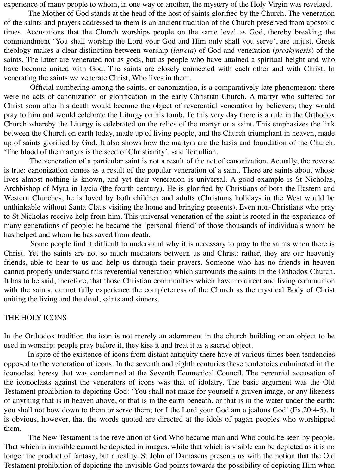experience of many people to whom, in one way or another, the mystery of the Holy Virgin was revelaed.

 The Mother of God stands at the head of the host of saints glorified by the Church. The veneration of the saints and prayers addressed to them is an ancient tradition of the Church preserved from apostolic times. Accusations that the Church worships people on the same level as God, thereby breaking the commandment 'You shall worship the Lord your God and Him only shall you serve', are unjust. Greek theology makes a clear distinction between worship (*latreia*) of God and veneration (*proskynesis*) of the saints. The latter are venerated not as gods, but as people who have attained a spiritual height and who have become united with God. The saints are closely connected with each other and with Christ. In venerating the saints we venerate Christ, Who lives in them.

 Official numbering among the saints, or canonization, is a comparatively late phenomenon: there were no acts of canonization or glorification in the early Christian Church. A martyr who suffered for Christ soon after his death would become the object of reverential veneration by believers; they would pray to him and would celebrate the Liturgy on his tomb. To this very day there is a rule in the Orthodox Church whereby the Liturgy is celebrated on the relics of the martyr or a saint. This emphasizes the link between the Church on earth today, made up of living people, and the Church triumphant in heaven, made up of saints glorified by God. It also shows how the martyrs are the basis and foundation of the Church. 'The blood of the martyrs is the seed of Christianity', said Tertullian.

 The veneration of a particular saint is not a result of the act of canonization. Actually, the reverse is true: canonization comes as a result of the popular veneration of a saint. There are saints about whose lives almost nothing is known, and yet their veneration is universal. A good example is St Nicholas, Archbishop of Myra in Lycia (the fourth century). He is glorified by Christians of both the Eastern and Western Churches, he is loved by both children and adults (Christmas holidays in the West would be unthinkable without Santa Claus visiting the home and bringing presents). Even non-Christians who pray to St Nicholas receive help from him. This universal veneration of the saint is rooted in the experience of many generations of people: he became the 'personal friend' of those thousands of individuals whom he has helped and whom he has saved from death.

 Some people find it difficult to understand why it is necessary to pray to the saints when there is Christ. Yet the saints are not so much mediators between us and Christ: rather, they are our heavenly friends, able to hear to us and help us through their prayers. Someone who has no friends in heaven cannot properly understand this reverential veneration which surrounds the saints in the Orthodox Church. It has to be said, therefore, that those Christian communities which have no direct and living communion with the saints, cannot fully experience the completeness of the Church as the mystical Body of Christ uniting the living and the dead, saints and sinners.

### THE HOLY ICONS

In the Orthodox tradition the icon is not merely an adornment in the church building or an object to be used in worship: people pray before it, they kiss it and treat it as a sacred object.

 In spite of the existence of icons from distant antiquity there have at various times been tendencies opposed to the veneration of icons. In the seventh and eighth centuries these tendencies culminated in the iconoclast heresy that was condemned at the Seventh Ecumenical Council. The perennial accusation of the iconoclasts against the venerators of icons was that of idolatry. The basic argument was the Old Testament prohibition to depicting God: 'You shall not make for yourself a graven image, or any likeness of anything that is in heaven above, or that is in the earth beneath, or that is in the water under the earth; you shall not bow down to them or serve them; for I the Lord your God am a jealous God' (Ex.20:4-5). It is obvious, however, that the words quoted are directed at the idols of pagan peoples who worshipped them.

 The New Testament is the revelation of God Who became man and Who could be seen by people. That which is invisible cannot be depicted in images, while that which is visible can be depicted as it is no longer the product of fantasy, but a reality. St John of Damascus presents us with the notion that the Old Testament prohibition of depicting the invisible God points towards the possibility of depicting Him when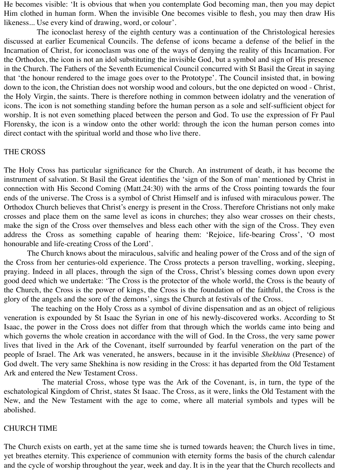He becomes visible: 'It is obvious that when you contemplate God becoming man, then you may depict Him clothed in human form. When the invisible One becomes visible to flesh, you may then draw His likeness... Use every kind of drawing, word, or colour'.

 The iconoclast heresy of the eighth century was a continuation of the Christological heresies discussed at earlier Ecumenical Councils. The defense of icons became a defense of the belief in the Incarnation of Christ, for iconoclasm was one of the ways of denying the reality of this Incarnation. For the Orthodox, the icon is not an idol substituting the invisible God, but a symbol and sign of His presence in the Church. The Fathers of the Seventh Ecumenical Council concurred with St Basil the Great in saying that 'the honour rendered to the image goes over to the Prototype'. The Council insisted that, in bowing down to the icon, the Christian does not worship wood and colours, but the one depicted on wood - Christ, the Holy Virgin, the saints. There is therefore nothing in common between idolatry and the veneration of icons. The icon is not something standing before the human person as a sole and self-sufficient object for worship. It is not even something placed between the person and God. To use the expression of Fr Paul Florensky, the icon is a window onto the other world: through the icon the human person comes into direct contact with the spiritual world and those who live there.

# THE CROSS

The Holy Cross has particular significance for the Church. An instrument of death, it has become the instrument of salvation. St Basil the Great identifies the 'sign of the Son of man' mentioned by Christ in connection with His Second Coming (Matt.24:30) with the arms of the Cross pointing towards the four ends of the universe. The Cross is a symbol of Christ Himself and is infused with miraculous power. The Orthodox Church believes that Christ's energy is present in the Cross. Therefore Christians not only make crosses and place them on the same level as icons in churches; they also wear crosses on their chests, make the sign of the Cross over themselves and bless each other with the sign of the Cross. They even address the Cross as something capable of hearing them: 'Rejoice, life-bearing Cross', 'O most honourable and life-creating Cross of the Lord'.

 The Church knows about the miraculous, salvific and healing power of the Cross and of the sign of the Cross from her centuries-old experience. The Cross protects a person travelling, working, sleeping, praying. Indeed in all places, through the sign of the Cross, Christ's blessing comes down upon every good deed which we undertake: 'The Cross is the protector of the whole world, the Cross is the beauty of the Church, the Cross is the power of kings, the Cross is the foundation of the faithful, the Cross is the glory of the angels and the sore of the demons', sings the Church at festivals of the Cross.

 The teaching on the Holy Cross as a symbol of divine dispensation and as an object of religious veneration is expounded by St Isaac the Syrian in one of his newly-discovered works. According to St Isaac, the power in the Cross does not differ from that through which the worlds came into being and which governs the whole creation in accordance with the will of God. In the Cross, the very same power lives that lived in the Ark of the Covenant, itself surrounded by fearful veneration on the part of the people of Israel. The Ark was venerated, he answers, because in it the invisible *Shekhina* (Presence) of God dwelt. The very same Shekhina is now residing in the Cross: it has departed from the Old Testament Ark and entered the New Testament Cross.

 The material Cross, whose type was the Ark of the Covenant, is, in turn, the type of the eschatological Kingdom of Christ, states St Isaac. The Cross, as it were, links the Old Testament with the New, and the New Testament with the age to come, where all material symbols and types will be abolished.

# CHURCH TIME

The Church exists on earth, yet at the same time she is turned towards heaven; the Church lives in time, yet breathes eternity. This experience of communion with eternity forms the basis of the church calendar and the cycle of worship throughout the year, week and day. It is in the year that the Church recollects and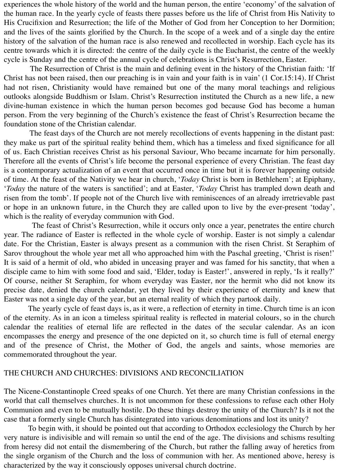experiences the whole history of the world and the human person, the entire 'economy' of the salvation of the human race. In the yearly cycle of feasts there passes before us the life of Christ from His Nativity to His Crucifixion and Resurrection; the life of the Mother of God from her Conception to her Dormition; and the lives of the saints glorified by the Church. In the scope of a week and of a single day the entire history of the salvation of the human race is also renewed and recollected in worship. Each cycle has its centre towards which it is directed: the centre of the daily cycle is the Eucharist, the centre of the weekly cycle is Sunday and the centre of the annual cycle of celebrations is Christ's Resurrection, Easter.

 The Resurrection of Christ is the main and defining event in the history of the Christian faith: 'If Christ has not been raised, then our preaching is in vain and your faith is in vain' (1 Cor.15:14). If Christ had not risen, Christianity would have remained but one of the many moral teachings and religious outlooks alongside Buddhism or Islam. Christ's Resurrection instituted the Church as a new life, a new divine-human existence in which the human person becomes god because God has become a human person. From the very beginning of the Church's existence the feast of Christ's Resurrection became the foundation stone of the Christian calendar.

 The feast days of the Church are not merely recollections of events happening in the distant past: they make us part of the spiritual reality behind them, which has a timeless and fixed significance for all of us. Each Christian receives Christ as his personal Saviour, Who became incarnate for him personally. Therefore all the events of Christ's life become the personal experience of every Christian. The feast day is a contemporary actualization of an event that occurred once in time but it is forever happening outside of time. At the feast of the Nativity we hear in church, '*Today* Christ is born in Bethlehem'; at Epiphany, '*Today* the nature of the waters is sanctified'; and at Easter, '*Today* Christ has trampled down death and risen from the tomb'. If people not of the Church live with reminiscences of an already irretrievable past or hope in an unknown future, in the Church they are called upon to live by the ever-present 'today', which is the reality of everyday communion with God.

 The feast of Christ's Resurrection, while it occurs only once a year, penetrates the entire church year. The radiance of Easter is reflected in the whole cycle of worship. Easter is not simply a calendar date. For the Christian, Easter is always present as a communion with the risen Christ. St Seraphim of Sarov throughout the whole year met all who approached him with the Paschal greeting, 'Christ is risen!' It is said of a hermit of old, who abided in unceasing prayer and was famed for his sanctity, that when a disciple came to him with some food and said, 'Elder, today is Easter!', answered in reply, 'Is it really?' Of course, neither St Seraphim, for whom everyday was Easter, nor the hermit who did not know its precise date, denied the church calendar, yet they lived by their experience of eternity and knew that Easter was not a single day of the year, but an eternal reality of which they partook daily.

 The yearly cycle of feast days is, as it were, a reflection of eternity in time. Church time is an icon of the eternity. As in an icon a timeless spiritual reality is reflected in material colours, so in the church calendar the realities of eternal life are reflected in the dates of the secular calendar. As an icon encompasses the energy and presence of the one depicted on it, so church time is full of eternal energy and of the presence of Christ, the Mother of God, the angels and saints, whose memories are commemorated throughout the year.

## THE CHURCH AND CHURCHES: DIVISIONS AND RECONCILIATION

The Nicene-Constantinople Creed speaks of one Church. Yet there are many Christian confessions in the world that call themselves churches. It is not uncommon for these confessions to refuse each other Holy Communion and even to be mutually hostile. Do these things destroy the unity of the Church? Is it not the case that a formerly single Church has disintegrated into various denominations and lost its unity?

 To begin with, it should be pointed out that according to Orthodox ecclesiology the Church by her very nature is indivisible and will remain so until the end of the age. The divisions and schisms resulting from heresy did not entail the dismembering of the Church, but rather the falling away of heretics from the single organism of the Church and the loss of communion with her. As mentioned above, heresy is characterized by the way it consciously opposes universal church doctrine.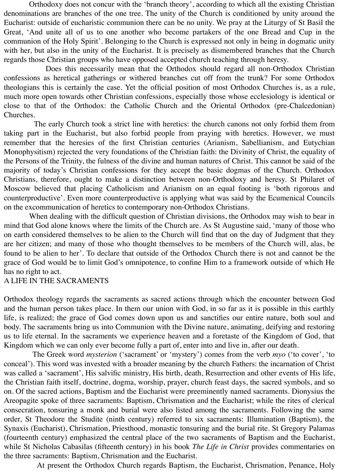Orthodoxy does not concur with the 'branch theory', according to which all the existing Christian denominations are branches of the one tree. The unity of the Church is conditioned by unity around the Eucharist: outside of eucharistic communion there can be no unity. We pray at the Liturgy of St Basil the Great, 'And unite all of us to one another who become partakers of the one Bread and Cup in the communion of the Holy Spirit'. Belonging to the Church is expressed not only in being in dogmatic unity with her, but also in the unity of the Eucharist. It is precisely as dismembered branches that the Church regards those Christian groups who have opposed accepted church teaching through heresy.

 Does this necessarily mean that the Orthodox should regard all non-Orthodox Christian confessions as heretical gatherings or withered branches cut off from the trunk? For some Orthodox theologians this is certainly the case. Yet the official position of most Orthodox Churches is, as a rule, much more open towards other Christian confessions, especially those whose ecclesiology is identical or close to that of the Orthodox: the Catholic Church and the Oriental Orthodox (pre-Chalcedonian) Churches.

 The early Church took a strict line with heretics: the church canons not only forbid them from taking part in the Eucharist, but also forbid people from praying with heretics. However, we must remember that the heresies of the first Christian centuries (Arianism, Sabellianism, and Eutychian Monophysitism) rejected the very foundations of the Christian faith: the Divinity of Christ, the equality of the Persons of the Trinity, the fulness of the divine and human natures of Christ. This cannot be said of the majority of today's Christian confessions for they accept the basic dogmas of the Church. Orthodox Christians, therefore, ought to make a distinction between non-Orthodoxy and heresy. St Philaret of Moscow believed that placing Catholicism and Arianism on an equal footing is 'both rigorous and counterproductive'. Even more counterproductive is applying what was said by the Ecumenical Councils on the excommunication of heretics to contemporary non-Orthodox Christians.

 When dealing with the difficult question of Christian divisions, the Orthodox may wish to bear in mind that God alone knows where the limits of the Church are. As St Augustine said, 'many of those who on earth considered themselves to be alien to the Church will find that on the day of Judgment that they are her citizen; and many of those who thought themselves to be members of the Church will, alas, be found to be alien to her'. To declare that outside of the Orthodox Church there is not and cannot be the grace of God would be to limit God's omnipotence, to confine Him to a framework outside of which He has no right to act.

# A LIFE IN THE SACRAMENTS

Orthodox theology regards the sacraments as sacred actions through which the encounter between God and the human person takes place. In them our union with God, in so far as it is possible in this earthly life, is realized; the grace of God comes down upon us and sanctifies our entire nature, both soul and body. The sacraments bring us into Communion with the Divine nature, animating, deifying and restoring us to life eternal. In the sacraments we experience heaven and a foretaste of the Kingdom of God, that Kingdom which we can only ever become fully a part of, enter into and live in, after our death.

 The Greek word *mysterion* ('sacrament' or 'mystery') comes from the verb *myo* ('to cover', 'to conceal'). This word was invested with a broader meaning by the church Fathers: the incarnation of Christ was called a 'sacrament', His salvific ministry, His birth, death, Resurrection and other events of His life, the Christian faith itself, doctrine, dogma, worship, prayer, church feast days, the sacred symbols, and so on. Of the sacred actions, Baptism and the Eucharist were preeminently named sacraments. Dionysius the Areopagite spoke of three sacraments: Baptism, Chrismation and the Eucharist; while the rites of clerical consecration, tonsuring a monk and burial were also listed among the sacraments. Following the same order, St Theodore the Studite (ninth century) referred to six sacraments: Illumination (Baptism), the Synaxis (Eucharist), Chrismation, Priesthood, monastic tonsuring and the burial rite. St Gregory Palamas (fourteenth century) emphasized the central place of the two sacraments of Baptism and the Eucharist, while St Nicholas Cabasilas (fifteenth century) in his book *The Life in Christ* provides commentaries on the three sacraments: Baptism, Chrismation and the Eucharist.

At present the Orthodox Church regards Baptism, the Eucharist, Chrismation, Penance, Holy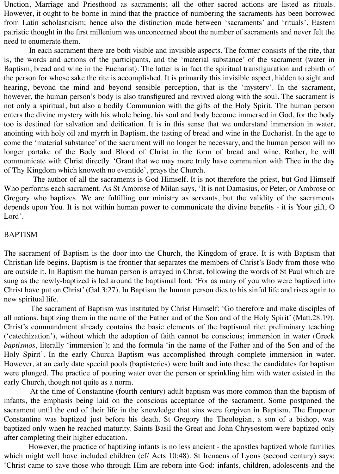Unction, Marriage and Priesthood as sacraments; all the other sacred actions are listed as rituals. However, it ought to be borne in mind that the practice of numbering the sacraments has been borrowed from Latin scholasticism; hence also the distinction made between 'sacraments' and 'rituals'. Eastern patristic thought in the first millenium was unconcerned about the number of sacraments and never felt the need to enumerate them.

 In each sacrament there are both visible and invisible aspects. The former consists of the rite, that is, the words and actions of the participants, and the 'material substance' of the sacrament (water in Baptism, bread and wine in the Eucharist). The latter is in fact the spiritual transfiguration and rebirth of the person for whose sake the rite is accomplished. It is primarily this invisible aspect, hidden to sight and hearing, beyond the mind and beyond sensible perception, that is the 'mystery'. In the sacrament, however, the human person's body is also transfigured and revived along with the soul. The sacrament is not only a spiritual, but also a bodily Communion with the gifts of the Holy Spirit. The human person enters the divine mystery with his whole being, his soul and body become immersed in God, for the body too is destined for salvation and deification. It is in this sense that we understand immersion in water, anointing with holy oil and myrrh in Baptism, the tasting of bread and wine in the Eucharist. In the age to come the 'material substance' of the sacrament will no longer be necessary, and the human person will no longer partake of the Body and Blood of Christ in the form of bread and wine. Rather, he will communicate with Christ directly. 'Grant that we may more truly have communion with Thee in the day of Thy Kingdom which knoweth no eventide', prays the Church.

 The author of all the sacraments is God Himself. It is not therefore the priest, but God Himself Who performs each sacrament. As St Ambrose of Milan says, 'It is not Damasius, or Peter, or Ambrose or Gregory who baptizes. We are fulfilling our ministry as servants, but the validity of the sacraments depends upon You. It is not within human power to communicate the divine benefits - it is Your gift, O Lord'.

### BAPTISM

The sacrament of Baptism is the door into the Church, the Kingdom of grace. It is with Baptism that Christian life begins. Baptism is the frontier that separates the members of Christ's Body from those who are outside it. In Baptism the human person is arrayed in Christ, following the words of St Paul which are sung as the newly-baptized is led around the baptismal font: 'For as many of you who were baptized into Christ have put on Christ' (Gal.3:27). In Baptism the human person dies to his sinful life and rises again to new spiritual life.

 The sacrament of Baptism was instituted by Christ Himself: 'Go therefore and make disciples of all nations, baptizing them in the name of the Father and of the Son and of the Holy Spirit' (Matt.28:19). Christ's commandment already contains the basic elements of the baptismal rite: preliminary teaching ('catechization'), without which the adoption of faith cannot be conscious; immersion in water (Greek *baptismos*, literally 'immersion'); and the formula 'in the name of the Father and of the Son and of the Holy Spirit'. In the early Church Baptism was accomplished through complete immersion in water. However, at an early date special pools (baptisteries) were built and into these the candidates for baptism were plunged. The practice of pouring water over the person or sprinkling him with water existed in the early Church, though not quite as a norm.

 At the time of Constantine (fourth century) adult baptism was more common than the baptism of infants, the emphasis being laid on the conscious acceptance of the sacrament. Some postponed the sacrament until the end of their life in the knowledge that sins were forgiven in Baptism. The Emperor Constantine was baptized just before his death. St Gregory the Theologian, a son of a bishop, was baptized only when he reached maturity. Saints Basil the Great and John Chrysostom were baptized only after completing their higher education.

 However, the practice of baptizing infants is no less ancient - the apostles baptized whole families which might well have included children (cf/ Acts 10:48). St Irenaeus of Lyons (second century) says: 'Christ came to save those who through Him are reborn into God: infants, children, adolescents and the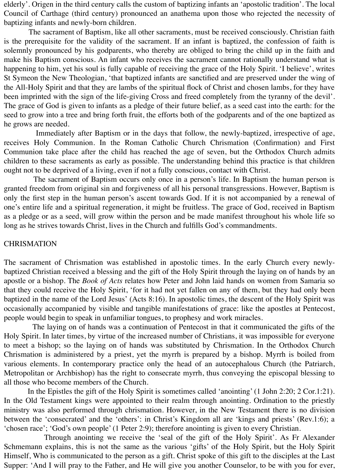elderly'. Origen in the third century calls the custom of baptizing infants an 'apostolic tradition'. The local Council of Carthage (third century) pronounced an anathema upon those who rejected the necessity of baptizing infants and newly-born children.

 The sacrament of Baptism, like all other sacraments, must be received consciously. Christian faith is the prerequisite for the validity of the sacrament. If an infant is baptized, the confession of faith is solemnly pronounced by his godparents, who thereby are obliged to bring the child up in the faith and make his Baptism conscious. An infant who receives the sacrament cannot rationally understand what is happening to him, yet his soul is fully capable of receiving the grace of the Holy Spirit. 'I believe', writes St Symeon the New Theologian, 'that baptized infants are sanctified and are preserved under the wing of the All-Holy Spirit and that they are lambs of the spiritual flock of Christ and chosen lambs, for they have been imprinted with the sign of the life-giving Cross and freed completely from the tyranny of the devil'. The grace of God is given to infants as a pledge of their future belief, as a seed cast into the earth: for the seed to grow into a tree and bring forth fruit, the efforts both of the godparents and of the one baptized as he grows are needed.

 Immediately after Baptism or in the days that follow, the newly-baptized, irrespective of age, receives Holy Communion. In the Roman Catholic Church Chrismation (Confirmation) and First Communion take place after the child has reached the age of seven, but the Orthodox Church admits children to these sacraments as early as possible. The understanding behind this practice is that children ought not to be deprived of a living, even if not a fully conscious, contact with Christ.

 The sacrament of Baptism occurs only once in a person's life. In Baptism the human person is granted freedom from original sin and forgiveness of all his personal transgressions. However, Baptism is only the first step in the human person's ascent towards God. If it is not accompanied by a renewal of one's entire life and a spiritual regeneration, it might be fruitless. The grace of God, received in Baptism as a pledge or as a seed, will grow within the person and be made manifest throughout his whole life so long as he strives towards Christ, lives in the Church and fulfills God's commandments.

#### **CHRISMATION**

The sacrament of Chrismation was established in apostolic times. In the early Church every newlybaptized Christian received a blessing and the gift of the Holy Spirit through the laying on of hands by an apostle or a bishop. The *Book of Acts* relates how Peter and John laid hands on women from Samaria so that they could receive the Holy Spirit, 'for it had not yet fallen on any of them, but they had only been baptized in the name of the Lord Jesus' (Acts 8:16). In apostolic times, the descent of the Holy Spirit was occasionally accompanied by visible and tangible manifestations of grace: like the apostles at Pentecost, people would begin to speak in unfamiliar tongues, to prophesy and work miracles.

 The laying on of hands was a continuation of Pentecost in that it communicated the gifts of the Holy Spirit. In later times, by virtue of the increased number of Christians, it was impossible for everyone to meet a bishop; so the laying on of hands was substituted by Chrismation. In the Orthodox Church Chrismation is administered by a priest, yet the myrrh is prepared by a bishop. Myrrh is boiled from various elements. In contemporary practice only the head of an autocephalous Church (the Patriarch, Metropolitan or Archbishop) has the right to consecrate myrrh, thus conveying the episcopal blessing to all those who become members of the Church.

 In the Epistles the gift of the Holy Spirit is sometimes called 'anointing' (1 John 2:20; 2 Cor.1:21). In the Old Testament kings were appointed to their realm through anointing. Ordination to the priestly ministry was also performed through chrismation. However, in the New Testament there is no division between the 'consecrated' and the 'others': in Christ's Kingdom all are 'kings and priests' (Rev.1:6); a 'chosen race'; 'God's own people' (1 Peter 2:9); therefore anointing is given to every Christian.

 Through anointing we receive the 'seal of the gift of the Holy Spirit'. As Fr Alexander Schmemann explains, this is not the same as the various 'gifts' of the Holy Spirit, but the Holy Spirit Himself, Who is communicated to the person as a gift. Christ spoke of this gift to the disciples at the Last Supper: 'And I will pray to the Father, and He will give you another Counselor, to be with you for ever,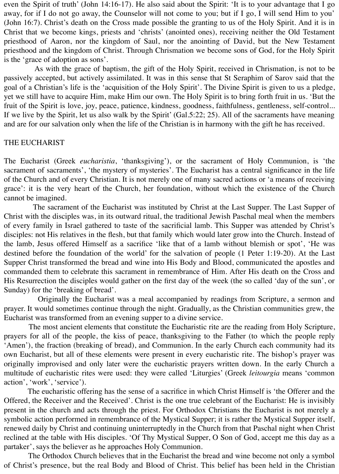even the Spirit of truth' (John 14:16-17). He also said about the Spirit: 'It is to your advantage that I go away, for if I do not go away, the Counselor will not come to you; but if I go, I will send Him to you' (John 16:7). Christ's death on the Cross made possible the granting to us of the Holy Spirit. And it is in Christ that we become kings, priests and 'christs' (anointed ones), receiving neither the Old Testament priesthood of Aaron, nor the kingdom of Saul, nor the anointing of David, but the New Testament priesthood and the kingdom of Christ. Through Chrismation we become sons of God, for the Holy Spirit is the 'grace of adoption as sons'.

 As with the grace of baptism, the gift of the Holy Spirit, received in Chrismation, is not to be passively accepted, but actively assimilated. It was in this sense that St Seraphim of Sarov said that the goal of a Christian's life is the 'acquisition of the Holy Spirit'. The Divine Spirit is given to us a pledge, yet we still have to acquire Him, make Him our own. The Holy Spirit is to bring forth fruit in us. 'But the fruit of the Spirit is love, joy, peace, patience, kindness, goodness, faithfulness, gentleness, self-control... If we live by the Spirit, let us also walk by the Spirit' (Gal.5:22; 25). All of the sacraments have meaning and are for our salvation only when the life of the Christian is in harmony with the gift he has received.

# THE EUCHARIST

The Eucharist (Greek *eucharistia*, 'thanksgiving'), or the sacrament of Holy Communion, is 'the sacrament of sacraments', 'the mystery of mysteries'. The Eucharist has a central significance in the life of the Church and of every Christian. It is not merely one of many sacred actions or 'a means of receiving grace': it is the very heart of the Church, her foundation, without which the existence of the Church cannot be imagined.

 The sacrament of the Eucharist was instituted by Christ at the Last Supper. The Last Supper of Christ with the disciples was, in its outward ritual, the traditional Jewish Paschal meal when the members of every family in Israel gathered to taste of the sacrificial lamb. This Supper was attended by Christ's disciples: not His relatives in the flesh, but that family which would later grow into the Church. Instead of the lamb, Jesus offered Himself as a sacrifice 'like that of a lamb without blemish or spot', 'He was destined before the foundation of the world' for the salvation of people (1 Peter 1:19-20). At the Last Supper Christ transformed the bread and wine into His Body and Blood, communicated the apostles and commanded them to celebrate this sacrament in remembrance of Him. After His death on the Cross and His Resurrection the disciples would gather on the first day of the week (the so called 'day of the sun', or Sunday) for the 'breaking of bread'.

 Originally the Eucharist was a meal accompanied by readings from Scripture, a sermon and prayer. It would sometimes continue through the night. Gradually, as the Christian communities grew, the Eucharist was transformed from an evening supper to a divine service.

 The most ancient elements that constitute the Eucharistic rite are the reading from Holy Scripture, prayers for all of the people, the kiss of peace, thanksgiving to the Father (to which the people reply 'Amen'), the fraction (breaking of bread), and Communion. In the early Church each community had its own Eucharist, but all of these elements were present in every eucharistic rite. The bishop's prayer was originally improvised and only later were the eucharistic prayers written down. In the early Church a multitude of eucharistic rites were used: they were called 'Liturgies' (Greek *leitourgia* means 'common action', 'work', 'service').

 The eucharistic offering has the sense of a sacrifice in which Christ Himself is 'the Offerer and the Offered, the Receiver and the Received'. Christ is the one true celebrant of the Eucharist: He is invisibly present in the church and acts through the priest. For Orthodox Christians the Eucharist is not merely a symbolic action performed in remembrance of the Mystical Supper; it is rather the Mystical Supper itself, renewed daily by Christ and continuing uninterruptedly in the Church from that Paschal night when Christ reclined at the table with His disciples. 'Of Thy Mystical Supper, O Son of God, accept me this day as a partaker', says the believer as he approaches Holy Communion.

 The Orthodox Church believes that in the Eucharist the bread and wine become not only a symbol of Christ's presence, but the real Body and Blood of Christ. This belief has been held in the Christian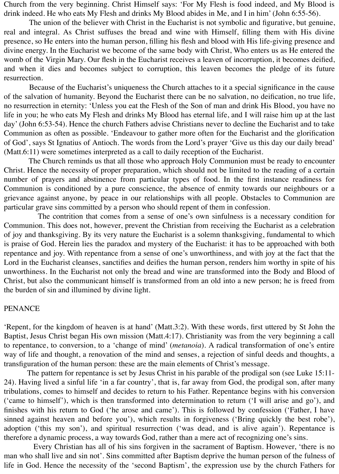Church from the very beginning. Christ Himself says: 'For My Flesh is food indeed, and My Blood is drink indeed. He who eats My Flesh and drinks My Blood abides in Me, and I in him' (John 6:55-56).

 The union of the believer with Christ in the Eucharist is not symbolic and figurative, but genuine, real and integral. As Christ suffuses the bread and wine with Himself, filling them with His divine presence, so He enters into the human person, filling his flesh and blood with His life-giving presence and divine energy. In the Eucharist we become of the same body with Christ, Who enters us as He entered the womb of the Virgin Mary. Our flesh in the Eucharist receives a leaven of incorruption, it becomes deified, and when it dies and becomes subject to corruption, this leaven becomes the pledge of its future resurrection.

 Because of the Eucharist's uniqueness the Church attaches to it a special significance in the cause of the salvation of humanity. Beyond the Eucharist there can be no salvation, no deification, no true life, no resurrection in eternity: 'Unless you eat the Flesh of the Son of man and drink His Blood, you have no life in you; he who eats My Flesh and drinks My Blood has eternal life, and I will raise him up at the last day' (John 6:53-54). Hence the church Fathers advise Christians never to decline the Eucharist and to take Communion as often as possible. 'Endeavour to gather more often for the Eucharist and the glorification of God', says St Ignatius of Antioch. The words from the Lord's prayer 'Give us this day our daily bread' (Matt.6:11) were sometimes interpreted as a call to daily reception of the Eucharist.

 The Church reminds us that all those who approach Holy Communion must be ready to encounter Christ. Hence the necessity of proper preparation, which should not be limited to the reading of a certain number of prayers and abstinence from particular types of food. In the first instance readiness for Communion is conditioned by a pure conscience, the absence of enmity towards our neighbours or a grievance against anyone, by peace in our relationships with all people. Obstacles to Communion are particular grave sins committed by a person who should repent of them in confession.

 The contrition that comes from a sense of one's own sinfulness is a necessary condition for Communion. This does not, however, prevent the Christian from receiving the Eucharist as a celebration of joy and thanksgiving. By its very nature the Eucharist is a solemn thanksgiving, fundamental to which is praise of God. Herein lies the paradox and mystery of the Eucharist: it has to be approached with both repentance and joy. With repentance from a sense of one's unworthiness, and with joy at the fact that the Lord in the Eucharist cleanses, sanctifies and deifies the human person, renders him worthy in spite of his unworthiness. In the Eucharist not only the bread and wine are transformed into the Body and Blood of Christ, but also the communicant himself is transformed from an old into a new person; he is freed from the burden of sin and illumined by divine light.

#### PENANCE

'Repent, for the kingdom of heaven is at hand' (Matt.3:2). With these words, first uttered by St John the Baptist, Jesus Christ began His own mission (Matt.4:17). Christianity was from the very beginning a call to repentance, to conversion, to a 'change of mind' (*metanoia*). A radical transformation of one's entire way of life and thought, a renovation of the mind and senses, a rejection of sinful deeds and thoughts, a transfiguration of the human person: these are the main elements of Christ's message.

 The pattern for repentance is set by Jesus Christ in his parable of the prodigal son (see Luke 15:11- 24). Having lived a sinful life 'in a far country', that is, far away from God, the prodigal son, after many tribulations, comes to himself and decides to return to his Father. Repentance begins with his conversion ('came to himself'), which is then transformed into determination to return ('I will arise and go'), and finishes with his return to God ('he arose and came'). This is followed by confession ('Father, I have sinned against heaven and before you'), which results in forgiveness ('Bring quickly the best robe'), adoption ('this my son'), and spiritual resurrection ('was dead, and is alive again'). Repentance is therefore a dynamic process, a way towards God, rather than a mere act of recognizing one's sins.

 Every Christian has all of his sins forgiven in the sacrament of Baptism. However, 'there is no man who shall live and sin not'. Sins committed after Baptism deprive the human person of the fulness of life in God. Hence the necessity of the 'second Baptism', the expression use by the church Fathers for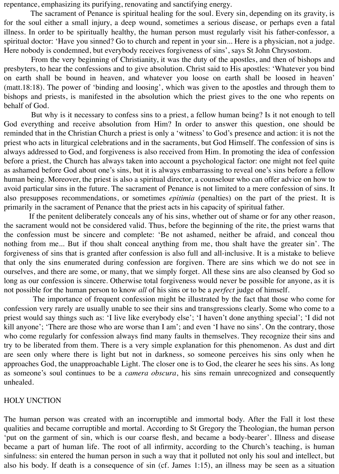repentance, emphasizing its purifying, renovating and sanctifying energy.

 The sacrament of Penance is spiritual healing for the soul. Every sin, depending on its gravity, is for the soul either a small injury, a deep wound, sometimes a serious disease, or perhaps even a fatal illness. In order to be spiritually healthy, the human person must regularly visit his father-confessor, a spiritual doctor: 'Have you sinned? Go to church and repent in your sin... Here is a physician, not a judge. Here nobody is condemned, but everybody receives forgiveness of sins', says St John Chrysostom.

 From the very beginning of Christianity, it was the duty of the apostles, and then of bishops and presbyters, to hear the confessions and to give absolution. Christ said to His apostles: 'Whatever you bind on earth shall be bound in heaven, and whatever you loose on earth shall be loosed in heaven' (matt.18:18). The power of 'binding and loosing', which was given to the apostles and through them to bishops and priests, is manifested in the absolution which the priest gives to the one who repents on behalf of God.

 But why is it necessary to confess sins to a priest, a fellow human being? Is it not enough to tell God everything and receive absolution from Him? In order to answer this question, one should be reminded that in the Christian Church a priest is only a 'witness' to God's presence and action: it is not the priest who acts in liturgical celebrations and in the sacraments, but God Himself. The confession of sins is always addressed to God, and forgiveness is also received from Him. In promoting the idea of confession before a priest, the Church has always taken into account a psychological factor: one might not feel quite as ashamed before God about one's sins, but it is always embarrassing to reveal one's sins before a fellow human being. Moreover, the priest is also a spiritual director, a counselour who can offer advice on how to avoid particular sins in the future. The sacrament of Penance is not limited to a mere confession of sins. It also presupposes recommendations, or sometimes *epitimia* (penalties) on the part of the priest. It is primarily in the sacrament of Penance that the priest acts in his capacity of spiritual father.

 If the penitent deliberately conceals any of his sins, whether out of shame or for any other reason, the sacrament would not be considered valid. Thus, before the beginning of the rite, the priest warns that the confession must be sincere and complete: 'Be not ashamed, neither be afraid, and conceal thou nothing from me... But if thou shalt conceal anything from me, thou shalt have the greater sin'. The forgiveness of sins that is granted after confession is also full and all-inclusive. It is a mistake to believe that only the sins enumerated during confession are forgiven. There are sins which we do not see in ourselves, and there are some, or many, that we simply forget. All these sins are also cleansed by God so long as our confession is sincere. Otherwise total forgiveness would never be possible for anyone, as it is not possible for the human person to know *all* of his sins or to be a *perfect* judge of himself.

 The importance of frequent confession might be illustrated by the fact that those who come for confession very rarely are usually unable to see their sins and transgressions clearly. Some who come to a priest would say things such as: 'I live like everybody else'; 'I haven't done anything special'; 'I did not kill anyone'; 'There are those who are worse than I am'; and even 'I have no sins'. On the contrary, those who come regularly for confession always find many faults in themselves. They recognize their sins and try to be liberated from them. There is a very simple explanation for this phenomenon. As dust and dirt are seen only where there is light but not in darkness, so someone perceives his sins only when he approaches God, the unapproachable Light. The closer one is to God, the clearer he sees his sins. As long as someone's soul continues to be a *camera obscura*, his sins remain unrecognized and consequently unhealed.

#### HOLY UNCTION

The human person was created with an incorruptible and immortal body. After the Fall it lost these qualities and became corruptible and mortal. According to St Gregory the Theologian, the human person 'put on the garment of sin, which is our coarse flesh, and became a body-bearer'. Illness and disease became a part of human life. The root of all infirmity, according to the Church's teaching, is human sinfulness: sin entered the human person in such a way that it polluted not only his soul and intellect, but also his body. If death is a consequence of sin (cf. James 1:15), an illness may be seen as a situation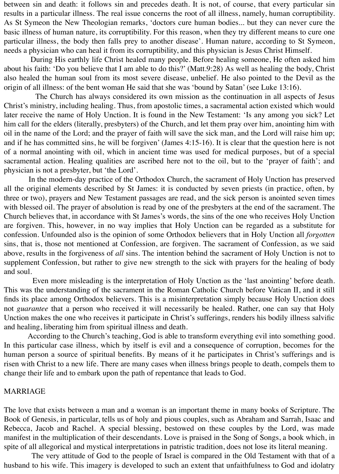between sin and death: it follows sin and precedes death. It is not, of course, that every particular sin results in a particular illness. The real issue concerns the root of all illness, namely, human corruptibility. As St Symeon the New Theologian remarks, 'doctors cure human bodies... but they can never cure the basic illness of human nature, its corruptibility. For this reason, when they try different means to cure one particular illness, the body then falls prey to another disease'. Human nature, according to St Symeon, needs a physician who can heal it from its corruptibility, and this physician is Jesus Christ Himself.

 During His earthly life Christ healed many people. Before healing someone, He often asked him about his faith: 'Do you believe that I am able to do this?' (Matt.9:28) As well as healing the body, Christ also healed the human soul from its most severe disease, unbelief. He also pointed to the Devil as the origin of all illness: of the bent woman He said that she was 'bound by Satan' (see Luke 13:16).

 The Church has always considered its own mission as the continuation in all aspects of Jesus Christ's ministry, including healing. Thus, from apostolic times, a sacramental action existed which would later receive the name of Holy Unction. It is found in the New Testament: 'Is any among you sick? Let him call for the elders (literally, presbyters) of the Church, and let them pray over him, anointing him with oil in the name of the Lord; and the prayer of faith will save the sick man, and the Lord will raise him up; and if he has committed sins, he will be forgiven' (James 4:15-16). It is clear that the question here is not of a normal anointing with oil, which in ancient time was used for medical purposes, but of a special sacramental action. Healing qualities are ascribed here not to the oil, but to the 'prayer of faith'; and physician is not a presbyter, but 'the Lord'.

 In the modern-day practice of the Orthodox Church, the sacrament of Holy Unction has preserved all the original elements described by St James: it is conducted by seven priests (in practice, often, by three or two), prayers and New Testament passages are read, and the sick person is anointed seven times with blessed oil. The prayer of absolution is read by one of the presbyters at the end of the sacrament. The Church believes that, in accordance with St James's words, the sins of the one who receives Holy Unction are forgiven. This, however, in no way implies that Holy Unction can be regarded as a substitute for confession. Unfounded also is the opinion of some Orthodox believers that in Holy Unction all *forgotten* sins, that is, those not mentioned at Confession, are forgiven. The sacrament of Confession, as we said above, results in the forgiveness of *all* sins. The intention behind the sacrament of Holy Unction is not to supplement Confession, but rather to give new strength to the sick with prayers for the healing of body and soul.

 Even more misleading is the interpretation of Holy Unction as the 'last anointing' before death. This was the understanding of the sacrament in the Roman Catholic Church before Vatican II, and it still finds its place among Orthodox believers. This is a misinterpretation simply because Holy Unction does not *guarantee* that a person who received it will necessarily be healed. Rather, one can say that Holy Unction makes the one who receives it participate in Christ's sufferings, renders his bodily illness salvific and healing, liberating him from spiritual illness and death.

 According to the Church's teaching, God is able to transform everything evil into something good. In this particular case illness, which by itself is evil and a consequence of corruption, becomes for the human person a source of spiritual benefits. By means of it he participates in Christ's sufferings and is risen with Christ to a new life. There are many cases when illness brings people to death, compels them to change their life and to embark upon the path of repentance that leads to God.

#### MARRIAGE

The love that exists between a man and a woman is an important theme in many books of Scripture. The Book of Genesis, in particular, tells us of holy and pious couples, such as Abraham and Sarrah, Isaac and Rebecca, Jacob and Rachel. A special blessing, bestowed on these couples by the Lord, was made manifest in the multiplication of their descendants. Love is praised in the Song of Songs, a book which, in spite of all allegorical and mystical interpretations in patristic tradition, does not lose its literal meaning.

 The very attitude of God to the people of Israel is compared in the Old Testament with that of a husband to his wife. This imagery is developed to such an extent that unfaithfulness to God and idolatry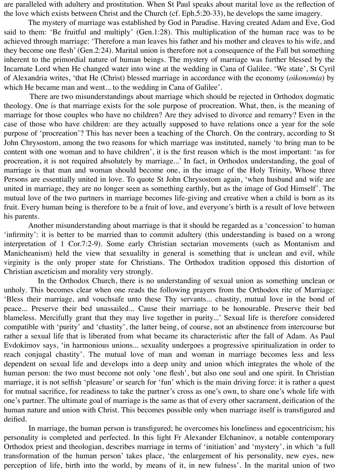are paralleled with adultery and prostitution. When St Paul speaks about marital love as the reflection of the love which exists between Christ and the Church (cf. Eph.5:20-33), he develops the same imagery.

 The mystery of marriage was established by God in Paradise. Having created Adam and Eve, God said to them: 'Be fruitful and multiply' (Gen.1:28). This multiplication of the human race was to be achieved through marriage: 'Therefore a man leaves his father and his mother and cleaves to his wife, and they become one flesh' (Gen.2:24). Marital union is therefore not a consequence of the Fall but something inherent to the primordial nature of human beings. The mystery of marriage was further blessed by the Incarnate Lord when He changed water into wine at the wedding in Cana of Galilee. 'We state', St Cyril of Alexandria writes, 'that He (Christ) blessed marriage in accordance with the economy (*oikonomia*) by which He became man and went... to the wedding in Cana of Galilee'.

 There are two misunderstandings about marriage which should be rejected in Orthodox dogmatic theology. One is that marriage exists for the sole purpose of procreation. What, then, is the meaning of marriage for those couples who have no children? Are they advised to divorce and remarry? Even in the case of those who have children: are they actually supposed to have relations once a year for the sole purpose of 'procreation'? This has never been a teaching of the Church. On the contrary, according to St John Chrysostom, among the two reasons for which marriage was instituted, namely 'to bring man to be content with one woman and to have children', it is the first reason which is the most important: 'as for procreation, it is not required absolutely by marriage...' In fact, in Orthodox understanding, the goal of marriage is that man and woman should become one, in the image of the Holy Trinity, Whose three Persons are essentially united in love. To quote St John Chrysostom again, 'when husband and wife are united in marriage, they are no longer seen as something earthly, but as the image of God Himself'. The mutual love of the two partners in marriage becomes life-giving and creative when a child is born as its fruit. Every human being is therefore to be a fruit of love, and everyone's birth is a result of love between his parents.

 Another misunderstanding about marriage is that it should be regarded as a 'concession' to human 'infirmity': it is better to be married than to commit adultery (this understanding is based on a wrong interpretation of 1 Cor.7:2-9). Some early Christian sectarian movements (such as Montanism and Manicheanism) held the view that sexualilty in general is something that is unclean and evil, while virginity is the only proper state for Christians. The Orthodox tradition opposed this distortion of Christian asceticism and morality very strongly.

 In the Orthodox Church, there is no understanding of sexual union as something unclean or unholy. This becomes clear when one reads the following prayers from the Orthodox rite of Marriage: 'Bless their marriage, and vouchsafe unto these Thy servants... chastity, mutual love in the bond of peace... Preserve their bed unassailed... Cause their marriage to be honourable. Preserve their bed blameless. Mercifully grant that they may live together in purity...' Sexual life is therefore considered compatible with 'purity' and 'chastity', the latter being, of course, not an abstinence from intercourse but rather a sexual life that is liberated from what became its characteristic after the fall of Adam. As Paul Evdokimov says, 'in harmonious unions... sexuality undergoes a progressive spiritualization in order to reach conjugal chastity'. The mutual love of man and woman in marriage becomes less and less dependent on sexual life and develops into a deep unity and union which integrates the whole of the human person: the two must become not only 'one flesh', but also one soul and one spirit. In Christian marriage, it is not selfish 'pleasure' or search for 'fun' which is the main driving force: it is rather a quest for mutual sacrifice, for readiness to take the partner's cross as one's own, to share one's whole life with one's partner. The ultimate goal of marriage is the same as that of every other sacrament, deification of the human nature and union with Christ. This becomes possible only when marriage itself is transfigured and deified.

 In marriage, the human person is transfigured; he overcomes his loneliness and egocentricism; his personality is completed and perfected. In this light Fr Alexander Elchaninov, a notable contemporary Orthodox priest and theologian, describes marriage in terms of 'initiation' and 'mystery', in which 'a full transformation of the human person' takes place, 'the enlargement of his personality, new eyes, new perception of life, birth into the world, by means of it, in new fulness'. In the marital union of two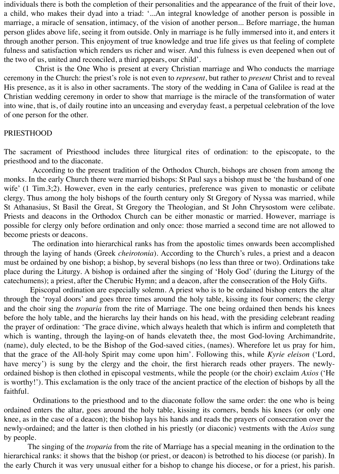individuals there is both the completion of their personalities and the appearance of the fruit of their love, a child, who makes their dyad into a triad: '...An integral knowledge of another person is possible in marriage, a miracle of sensation, intimacy, of the vision of another person... Before marriage, the human person glides above life, seeing it from outside. Only in marriage is he fully immersed into it, and enters it through another person. This enjoyment of true knowledge and true life gives us that feeling of complete fulness and satisfaction which renders us richer and wiser. And this fulness is even deepened when out of the two of us, united and reconciled, a third appears, our child'.

 Christ is the One Who is present at every Christian marriage and Who conducts the marriage ceremony in the Church: the priest's role is not even to *represent*, but rather to *present* Christ and to reveal His presence, as it is also in other sacraments. The story of the wedding in Cana of Galilee is read at the Christian wedding ceremony in order to show that marriage is the miracle of the transformation of water into wine, that is, of daily routine into an unceasing and everyday feast, a perpetual celebration of the love of one person for the other.

#### PRIESTHOOD

The sacrament of Priesthood includes three liturgical rites of ordination: to the episcopate, to the priesthood and to the diaconate.

 According to the present tradition of the Orthodox Church, bishops are chosen from among the monks. In the early Church there were married bishops: St Paul says a bishop must be 'the husband of one wife' (1 Tim.3;2). However, even in the early centuries, preference was given to monastic or celibate clergy. Thus among the holy bishops of the fourth century only St Gregory of Nyssa was married, while St Athanasius, St Basil the Great, St Gregory the Theologian, and St John Chrysostom were celibate. Priests and deacons in the Orthodox Church can be either monastic or married. However, marriage is possible for clergy only before ordination and only once: those married a second time are not allowed to become priests or deacons.

 The ordination into hierarchical ranks has from the apostolic times onwards been accomplished through the laying of hands (Greek *cheirotonia*). According to the Church's rules, a priest and a deacon must be ordained by one bishop; a bishop, by several bishops (no less than three or two). Ordinations take place during the Liturgy. A bishop is ordained after the singing of 'Holy God' (during the Liturgy of the catechumens); a priest, after the Cherubic Hymn; and a deacon, after the consecration of the Holy Gifts.

 Episcopal ordination are especially solemn. A priest who is to be ordained bishop enters the altar through the 'royal doors' and goes three times around the holy table, kissing its four corners; the clergy and the choir sing the *troparia* from the rite of Marriage. The one being ordained then bends his knees before the holy table, and the hierarchs lay their hands on his head, with the presiding celebrant reading the prayer of ordination: 'The grace divine, which always healeth that which is infirm and completeth that which is wanting, through the laying-on of hands elevateth thee, the most God-loving Archimandrite, (name), duly elected, to be the Bishop of the God-saved cities, (names). Wherefore let us pray for him, that the grace of the All-holy Spirit may come upon him'. Following this, while *Kyrie eleison* ('Lord, have mercy') is sung by the clergy and the choir, the first hierarch reads other prayers. The newlyordained bishop is then clothed in episcopal vestments, while the people (or the choir) exclaim *Axios* ('He is worthy!'). This exclamation is the only trace of the ancient practice of the election of bishops by all the faithful.

 Ordinations to the priesthood and to the diaconate follow the same order: the one who is being ordained enters the altar, goes around the holy table, kissing its corners, bends his knees (or only one knee, as in the case of a deacon); the bishop lays his hands and reads the prayers of consecration over the newly-ordained; and the latter is then clothed in his priestly (or diaconic) vestments with the *Axios* sung by people.

 The singing of the *troparia* from the rite of Marriage has a special meaning in the ordination to the hierarchical ranks: it shows that the bishop (or priest, or deacon) is betrothed to his diocese (or parish). In the early Church it was very unusual either for a bishop to change his diocese, or for a priest, his parish.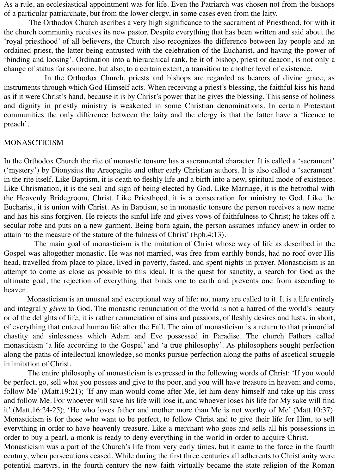As a rule, an ecclesiastical appointment was for life. Even the Patriarch was chosen not from the bishops of a particular patriarchate, but from the lower clergy, in some cases even from the laity.

 The Orthodox Church ascribes a very high significance to the sacrament of Priesthood, for with it the church community receives its new pastor. Despite everything that has been written and said about the 'royal priesthood' of all believers, the Church also recognizes the difference between lay people and an ordained priest, the latter being entrusted with the celebration of the Eucharist, and having the power of 'binding and loosing'. Ordination into a hierarchical rank, be it of bishop, priest or deacon, is not only a change of status for someone, but also, to a certain extent, a transition to another level of existence.

 In the Orthodox Church, priests and bishops are regarded as bearers of divine grace, as instruments through which God Himself acts. When receiving a priest's blessing, the faithful kiss his hand as if it were Christ's hand, because it is by Christ's power that he gives the blessing. This sense of holiness and dignity in priestly ministry is weakened in some Christian denominations. In certain Protestant communities the only difference between the laity and the clergy is that the latter have a 'licence to preach'.

#### MONASCTICISM

In the Orthodox Church the rite of monastic tonsure has a sacramental character. It is called a 'sacrament' ('mystery') by Dionysius the Areopagite and other early Christian authors. It is also called a 'sacrament' in the rite itself. Like Baptism, it is death to fleshly life and a birth into a new, spiritual mode of existence. Like Chrismation, it is the seal and sign of being elected by God. Like Marriage, it is the betrothal with the Heavenly Bridegroom, Christ. Like Priesthood, it is a consecration for ministry to God. Like the Eucharist, it is union with Christ. As in Baptism, so in monastic tonsure the person receives a new name and has his sins forgiven. He rejects the sinful life and gives vows of faithfulness to Christ; he takes off a secular robe and puts on a new garment. Being born again, the person assumes infancy anew in order to attain 'to the measure of the stature of the fulness of Christ' (Eph.4:13).

 The main goal of monasticism is the imitation of Christ whose way of life as described in the Gospel was altogether monastic. He was not married, was free from earthly bonds, had no roof over His head, travelled from place to place, lived in poverty, fasted, and spent nights in prayer. Monasticism is an attempt to come as close as possible to this ideal. It is the quest for sanctity, a search for God as the ultimate goal, the rejection of everything that binds one to earth and prevents one from ascending to heaven.

 Monasticism is an unusual and exceptional way of life: not many are called to it. It is a life entirely and integrally *given* to God. The monastic renunciation of the world is not a hatred of the world's beauty or of the delights of life; it is rather renunciation of sins and passions, of fleshly desires and lusts, in short, of everything that entered human life after the Fall. The aim of monasticism is a return to that primordial chastity and sinlessness which Adam and Eve possessed in Paradise. The church Fathers called monasticism 'a life according to the Gospel' and 'a true philosophy'. As philosophers sought perfection along the paths of intellectual knowledge, so monks pursue perfection along the paths of ascetical struggle in imitation of Christ.

 The entire philosophy of monasticism is expressed in the following words of Christ: 'If you would be perfect, go, sell what you possess and give to the poor, and you will have treasure in heaven; and come, follow Me' (Matt.19:21); 'If any man would come after Me, let him deny himself and take up his cross and follow Me. For whoever will save his life will lose it, and whoever loses his life for My sake will find it' (Matt.16:24-25); 'He who loves father and mother more than Me is not worthy of Me' (Matt.10:37). Monasticism is for those who want to be perfect, to follow Christ and to give their life for Him, to sell everything in order to have heavenly treasure. Like a merchant who goes and sells all his possessions in order to buy a pearl, a monk is ready to deny everything in the world in order to acquire Christ.

Monasticism was a part of the Church's life from very early times, but it came to the force in the fourth century, when persecutions ceased. While during the first three centuries all adherents to Christianity were potential martyrs, in the fourth century the new faith virtually became the state religion of the Roman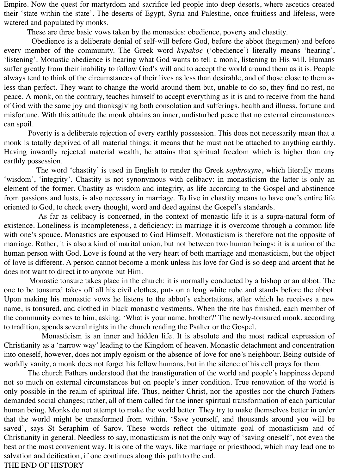Empire. Now the quest for martyrdom and sacrifice led people into deep deserts, where ascetics created their 'state within the state'. The deserts of Egypt, Syria and Palestine, once fruitless and lifeless, were watered and populated by monks.

These are three basic vows taken by the monastics: obedience, poverty and chastity.

 Obedience is a deliberate denial of self-will before God, before the abbot (hegumen) and before every member of the community. The Greek word *hypakoe* ('obedience') literally means 'hearing', 'listening'. Monastic obedience is hearing what God wants to tell a monk, listening to His will. Humans suffer greatly from their inability to follow God's will and to accept the world around them as it is. People always tend to think of the circumstances of their lives as less than desirable, and of those close to them as less than perfect. They want to change the world around them but, unable to do so, they find no rest, no peace. A monk, on the contrary, teaches himself to accept everything as it is and to receive from the hand of God with the same joy and thanksgiving both consolation and sufferings, health and illness, fortune and misfortune. With this attitude the monk obtains an inner, undisturbed peace that no external circumstances can spoil.

 Poverty is a deliberate rejection of every earthly possession. This does not necessarily mean that a monk is totally deprived of all material things: it means that he must not be attached to anything earthly. Having inwardly rejected material wealth, he attains that spiritual freedom which is higher than any earthly possession.

 The word 'chastity' is used in English to render the Greek *sophrosyne*, which literally means 'wisdom', 'integrity'. Chastity is not synonymous with celibacy: in monasticism the latter is only an element of the former. Chastity as wisdom and integrity, as life according to the Gospel and abstinence from passions and lusts, is also necessary in marriage. To live in chastity means to have one's entire life oriented to God, to check every thought, word and deed against the Gospel's standards.

 As far as celibacy is concerned, in the context of monastic life it is a supra-natural form of existence. Loneliness is incompleteness, a deficiency: in marriage it is overcome through a common life with one's spouce. Monastics are espoused to God Himself. Monasticism is therefore not the opposite of marriage. Rather, it is also a kind of marital union, but not between two human beings: it is a union of the human person with God. Love is found at the very heart of both marriage and monasticism, but the object of love is different. A person cannot become a monk unless his love for God is so deep and ardent that he does not want to direct it to anyone but Him.

 Monastic tonsure takes place in the church: it is normally conducted by a bishop or an abbot. The one to be tonsured takes off all his civil clothes, puts on a long white robe and stands before the abbot. Upon making his monastic vows he listens to the abbot's exhortations, after which he receives a new name, is tonsured, and clothed in black monastic vestments. When the rite has finished, each member of the community comes to him, asking: 'What is your name, brother?' The newly-tonsured monk, according to tradition, spends several nights in the church reading the Psalter or the Gospel.

 Monasticism is an inner and hidden life. It is absolute and the most radical expression of Christianity as a 'narrow way' leading to the Kingdom of heaven. Monastic detachment and concentration into oneself, however, does not imply egoism or the absence of love for one's neighbour. Being outside of worldly vanity, a monk does not forget his fellow humans, but in the silence of his cell prays for them.

 The church Fathers understood that the transfiguration of the world and people's happiness depend not so much on external circumstances but on people's inner condition. True renovation of the world is only possible in the realm of spiritual life. Thus, neither Christ, nor the apostles nor the church Fathers demanded social changes; rather, all of them called for the inner spiritual transformation of each particular human being. Monks do not attempt to make the world better. They try to make themselves better in order that the world might be transformed from within. 'Save yourself, and thousands around you will be saved', says St Seraphim of Sarov. These words reflect the ultimate goal of monasticism and of Christianity in general. Needless to say, monasticism is not the only way of 'saving oneself', not even the best or the most convenient way. It is one of the ways, like marriage or priesthood, which may lead one to salvation and deification, if one continues along this path to the end. THE END OF HISTORY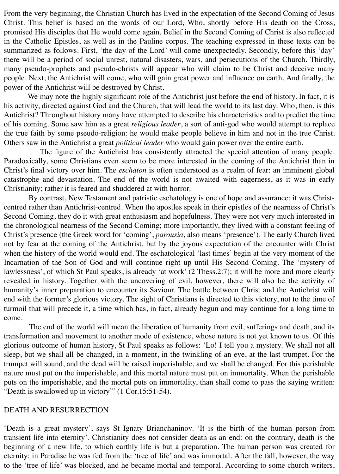From the very beginning, the Christian Church has lived in the expectation of the Second Coming of Jesus Christ. This belief is based on the words of our Lord, Who, shortly before His death on the Cross, promised His disciples that He would come again. Belief in the Second Coming of Christ is also reflected in the Catholic Epistles, as well as in the Pauline corpus. The teaching expressed in these texts can be summarized as follows. First, 'the day of the Lord' will come unexpectedly. Secondly, before this 'day' there will be a period of social unrest, natural disasters, wars, and persecutions of the Church. Thirdly, many pseudo-prophets and pseudo-christs will appear who will claim to be Christ and deceive many people. Next, the Antichrist will come, who will gain great power and influence on earth. And finally, the power of the Antichrist will be destroyed by Christ.

 We may note the highly significant role of the Antichrist just before the end of history. In fact, it is his activity, directed against God and the Church, that will lead the world to its last day. Who, then, is this Antichrist? Throughout history many have attempted to describe his characteristics and to predict the time of his coming. Some saw him as a great *religious leader*, a sort of anti-god who would attempt to replace the true faith by some pseudo-religion: he would make people believe in him and not in the true Christ. Others saw in the Antichrist a great *political leader* who would gain power over the entire earth.

 The figure of the Antichrist has consistently attracted the special attention of many people. Paradoxically, some Christians even seem to be more interested in the coming of the Antichrist than in Christ's final victory over him. The *eschaton* is often understood as a realm of fear: an imminent global catastrophe and devastation. The end of the world is not awaited with eagerness, as it was in early Christianity; rather it is feared and shuddered at with horror.

 By contrast, New Testament and patristic eschatology is one of hope and assurance: it was Christcentred rather than Antichrist-centred. When the apostles speak in their epistles of the nearness of Christ's Second Coming, they do it with great enthusiasm and hopefulness. They were not very much interested in the chronological nearness of the Second Coming; more importantly, they lived with a constant feeling of Christ's presence (the Greek word for 'coming', *parousia*, also means 'presence'). The early Church lived not by fear at the coming of the Antichrist, but by the joyous expectation of the encounter with Christ when the history of the world would end. The eschatological 'last times' begin at the very moment of the Incarnation of the Son of God and will continue right up until His Second Coming. The 'mystery of lawlessness', of which St Paul speaks, is already 'at work' (2 Thess.2:7); it will be more and more clearly revealed in history. Together with the uncovering of evil, however, there will also be the activity of humanity's inner preparation to encounter its Saviour. The battle between Christ and the Antichrist will end with the former's glorious victory. The sight of Christians is directed to this victory, not to the time of turmoil that will precede it, a time which has, in fact, already begun and may continue for a long time to come.

 The end of the world will mean the liberation of humanity from evil, sufferings and death, and its transformation and movement to another mode of existence, whose nature is not yet known to us. Of this glorious outcome of human history, St Paul speaks as follows: 'Lo! I tell you a mystery. We shall not all sleep, but we shall all be changed, in a moment, in the twinkling of an eye, at the last trumpet. For the trumpet will sound, and the dead will be raised imperishable, and we shall be changed. For this perishable nature must put on the imperishable, and this mortal nature must put on immortality. When the perishable puts on the imperishable, and the mortal puts on immortality, than shall come to pass the saying written: "Death is swallowed up in victory"' (1 Cor.15:51-54).

### DEATH AND RESURRECTION

'Death is a great mystery', says St Ignaty Brianchaninov. 'It is the birth of the human person from transient life into eternity'. Christianity does not consider death as an end: on the contrary, death is the beginning of a new life, to which earthly life is but a preparation. The human person was created for eternity; in Paradise he was fed from the 'tree of life' and was immortal. After the fall, however, the way to the 'tree of life' was blocked, and he became mortal and temporal. According to some church writers,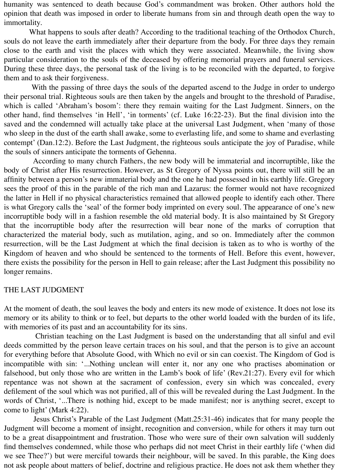humanity was sentenced to death because God's commandment was broken. Other authors hold the opinion that death was imposed in order to liberate humans from sin and through death open the way to immortality.

 What happens to souls after death? According to the traditional teaching of the Orthodox Church, souls do not leave the earth immediately after their departure from the body. For three days they remain close to the earth and visit the places with which they were associated. Meanwhile, the living show particular consideration to the souls of the deceased by offering memorial prayers and funeral services. During these three days, the personal task of the living is to be reconciled with the departed, to forgive them and to ask their forgiveness.

 With the passing of three days the souls of the departed ascend to the Judge in order to undergo their personal trial. Righteous souls are then taken by the angels and brought to the threshold of Paradise, which is called 'Abraham's bosom': there they remain waiting for the Last Judgment. Sinners, on the other hand, find themselves 'in Hell', 'in torments' (cf. Luke 16:22-23). But the final division into the saved and the condemned will actually take place at the universal Last Judgment, when 'many of those who sleep in the dust of the earth shall awake, some to everlasting life, and some to shame and everlasting contempt' (Dan.12:2). Before the Last Judgment, the righteous souls anticipate the joy of Paradise, while the souls of sinners anticipate the torments of Gehenna.

 According to many church Fathers, the new body will be immaterial and incorruptible, like the body of Christ after His resurrection. However, as St Gregory of Nyssa points out, there will still be an affinity between a person's new immaterial body and the one he had possessed in his earthly life. Gregory sees the proof of this in the parable of the rich man and Lazarus: the former would not have recognized the latter in Hell if no physical characteristics remained that allowed people to identify each other. There is what Gregory calls the 'seal' of the former body imprinted on every soul. The appearance of one's new incorruptible body will in a fashion resemble the old material body. It is also maintained by St Gregory that the incorruptible body after the resurrection will bear none of the marks of corruption that characterized the material body, such as mutilation, aging, and so on. Immediately after the common resurrection, will be the Last Judgment at which the final decision is taken as to who is worthy of the Kingdom of heaven and who should be sentenced to the torments of Hell. Before this event, however, there exists the possibility for the person in Hell to gain release; after the Last Judgment this possibility no longer remains.

# THE LAST JUDGMENT

At the moment of death, the soul leaves the body and enters its new mode of existence. It does not lose its memory or its ability to think or to feel, but departs to the other world loaded with the burden of its life, with memories of its past and an accountability for its sins.

 Christian teaching on the Last Judgment is based on the understanding that all sinful and evil deeds committed by the person leave certain traces on his soul, and that the person is to give an account for everything before that Absolute Good, with Which no evil or sin can coexist. The Kingdom of God is incompatible with sin: '...Nothing unclean will enter it, nor any one who practises abomination or falsehood, but only those who are written in the Lamb's book of life' (Rev.21:27). Every evil for which repentance was not shown at the sacrament of confession, every sin which was concealed, every defilement of the soul which was not purified, all of this will be revealed during the Last Judgment. In the words of Christ, '...There is nothing hid, except to be made manifest; nor is anything secret, except to come to light' (Mark 4:22).

 Jesus Christ's Parable of the Last Judgment (Matt.25:31-46) indicates that for many people the Judgment will become a moment of insight, recognition and conversion, while for others it may turn out to be a great disappointment and frustration. Those who were sure of their own salvation will suddenly find themselves condemned, while those who perhaps did not meet Christ in their earthly life ('when did we see Thee?') but were merciful towards their neighbour, will be saved. In this parable, the King does not ask people about matters of belief, doctrine and religious practice. He does not ask them whether they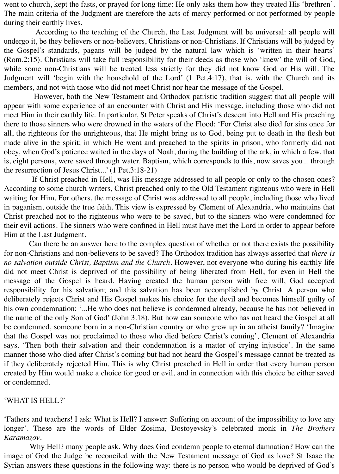went to church, kept the fasts, or prayed for long time: He only asks them how they treated His 'brethren'. The main criteria of the Judgment are therefore the acts of mercy performed or not performed by people during their earthly lives.

 According to the teaching of the Church, the Last Judgment will be universal: all people will undergo it, be they believers or non-believers, Christians or non-Christians. If Christians will be judged by the Gospel's standards, pagans will be judged by the natural law which is 'written in their hearts' (Rom.2:15). Christians will take full responsibility for their deeds as those who 'knew' the will of God, while some non-Christians will be treated less strictly for they did not know God or His will. The Judgment will 'begin with the household of the Lord' (1 Pet.4:17), that is, with the Church and its members, and not with those who did not meet Christ nor hear the message of the Gospel.

 However, both the New Testament and Orthodox patristic tradition suggest that all people will appear with some experience of an encounter with Christ and His message, including those who did not meet Him in their earthly life. In particular, St Peter speaks of Christ's descent into Hell and His preaching there to those sinners who were drowned in the waters of the Flood: 'For Christ also died for sins once for all, the righteous for the unrighteous, that He might bring us to God, being put to death in the flesh but made alive in the spirit; in which He went and preached to the spirits in prison, who formerly did not obey, when God's patience waited in the days of Noah, during the building of the ark, in which a few, that is, eight persons, were saved through water. Baptism, which corresponds to this, now saves you... through the resurrection of Jesus Christ...' (1 Pet.3:18-21)

 If Christ preached in Hell, was His message addressed to all people or only to the chosen ones? According to some church writers, Christ preached only to the Old Testament righteous who were in Hell waiting for Him. For others, the message of Christ was addressed to all people, including those who lived in paganism, outside the true faith. This view is expressed by Clement of Alexandria, who maintains that Christ preached not to the righteous who were to be saved, but to the sinners who were condemned for their evil actions. The sinners who were confined in Hell must have met the Lord in order to appear before Him at the Last Judgment.

 Can there be an answer here to the complex question of whether or not there exists the possibility for non-Christians and non-believers to be saved? The Orthodox tradition has always asserted that *there is no salvation outside Christ, Baptism and the Church*. However, not everyone who during his earthly life did not meet Christ is deprived of the possibility of being liberated from Hell, for even in Hell the message of the Gospel is heard. Having created the human person with free will, God accepted responsibility for his salvation; and this salvation has been accomplished by Christ. A person who deliberately rejects Christ and His Gospel makes his choice for the devil and becomes himself guilty of his own condemnation: '...He who does not believe is condemned already, because he has not believed in the name of the only Son of God' (John 3:18). But how can someone who has not heard the Gospel at all be condemned, someone born in a non-Christian country or who grew up in an atheist family? 'Imagine that the Gospel was not proclaimed to those who died before Christ's coming', Clement of Alexandria says. 'Then both their salvation and their condemnation is a matter of crying injustice'. In the same manner those who died after Christ's coming but had not heard the Gospel's message cannot be treated as if they deliberately rejected Him. This is why Christ preached in Hell in order that every human person created by Him would make a choice for good or evil, and in connection with this choice be either saved or condemned.

# 'WHAT IS HELL?'

'Fathers and teachers! I ask: What is Hell? I answer: Suffering on account of the impossibility to love any longer'. These are the words of Elder Zosima, Dostoyevsky's celebrated monk in *The Brothers Karamazov*.

 Why Hell? many people ask. Why does God condemn people to eternal damnation? How can the image of God the Judge be reconciled with the New Testament message of God as love? St Isaac the Syrian answers these questions in the following way: there is no person who would be deprived of God's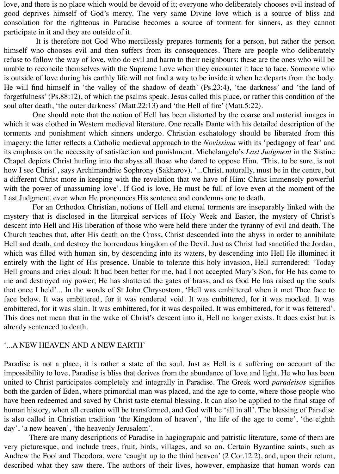love, and there is no place which would be devoid of it; everyone who deliberately chooses evil instead of good deprives himself of God's mercy. The very same Divine love which is a source of bliss and consolation for the righteous in Paradise becomes a source of torment for sinners, as they cannot participate in it and they are outside of it.

 It is therefore not God Who mercilessly prepares torments for a person, but rather the person himself who chooses evil and then suffers from its consequences. There are people who deliberately refuse to follow the way of love, who do evil and harm to their neighbours: these are the ones who will be unable to reconcile themselves with the Supreme Love when they encounter it face to face. Someone who is outside of love during his earthly life will not find a way to be inside it when he departs from the body. He will find himself in 'the valley of the shadow of death' (Ps.23:4), 'the darkness' and 'the land of forgetfulness' (Ps.88:12), of which the psalms speak. Jesus called this place, or rather this condition of the soul after death, 'the outer darkness' (Matt.22:13) and 'the Hell of fire' (Matt.5:22).

 One should note that the notion of Hell has been distorted by the coarse and material images in which it was clothed in Western medieval literature. One recalls Dante with his detailed description of the torments and punishment which sinners undergo. Christian eschatology should be liberated from this imagery: the latter reflects a Catholic medieval approach to the *Novissima* with its 'pedagogy of fear' and its emphasis on the necessity of satisfaction and punishment. Michelangelo's *Last Judgment* in the Sistine Chapel depicts Christ hurling into the abyss all those who dared to oppose Him. 'This, to be sure, is not how I see Christ', says Archimandrite Sophrony (Sakharov). '...Christ, naturally, must be in the centre, but a different Christ more in keeping with the revelation that we have of Him: Christ immensely powerful with the power of unassuming love'. If God is love, He must be full of love even at the moment of the Last Judgment, even when He pronounces His sentence and condemns one to death.

 For an Orthodox Christian, notions of Hell and eternal torments are inseparably linked with the mystery that is disclosed in the liturgical services of Holy Week and Easter, the mystery of Christ's descent into Hell and His liberation of those who were held there under the tyranny of evil and death. The Church teaches that, after His death on the Cross, Christ descended into the abyss in order to annihilate Hell and death, and destroy the horrendous kingdom of the Devil. Just as Christ had sanctified the Jordan, which was filled with human sin, by descending into its waters, by descending into Hell He illumined it entirely with the light of His presence. Unable to tolerate this holy invasion, Hell surrendered: 'Today Hell groans and cries aloud: It had been better for me, had I not accepted Mary's Son, for He has come to me and destroyed my power; He has shattered the gates of brass, and as God He has raised up the souls that once I held'... In the words of St John Chrysostom, 'Hell was embittered when it met Thee face to face below. It was embittered, for it was rendered void. It was embittered, for it was mocked. It was embittered, for it was slain. It was embittered, for it was despoiled. It was embittered, for it was fettered'. This does not mean that in the wake of Christ's descent into it, Hell no longer exists. It does exist but is already sentenced to death.

## '...A NEW HEAVEN AND A NEW EARTH'

Paradise is not a place, it is rather a state of the soul. Just as Hell is a suffering on account of the impossibility to love, Paradise is bliss that derives from the abundance of love and light. He who has been united to Christ participates completely and integrally in Paradise. The Greek word *paradeisos* signifies both the garden of Eden, where primordial man was placed, and the age to come, where those people who have been redeemed and saved by Christ taste eternal blessing. It can also be applied to the final stage of human history, when all creation will be transformed, and God will be 'all in all'. The blessing of Paradise is also called in Christian tradition 'the Kingdom of heaven', 'the life of the age to come', 'the eighth day', 'a new heaven', 'the heavenly Jerusalem'.

 There are many descriptions of Paradise in hagiographic and patristic literature, some of them are very picturesque, and include trees, fruit, birds, villages, and so on. Certain Byzantine saints, such as Andrew the Fool and Theodora, were 'caught up to the third heaven' (2 Cor.12:2), and, upon their return, described what they saw there. The authors of their lives, however, emphasize that human words can